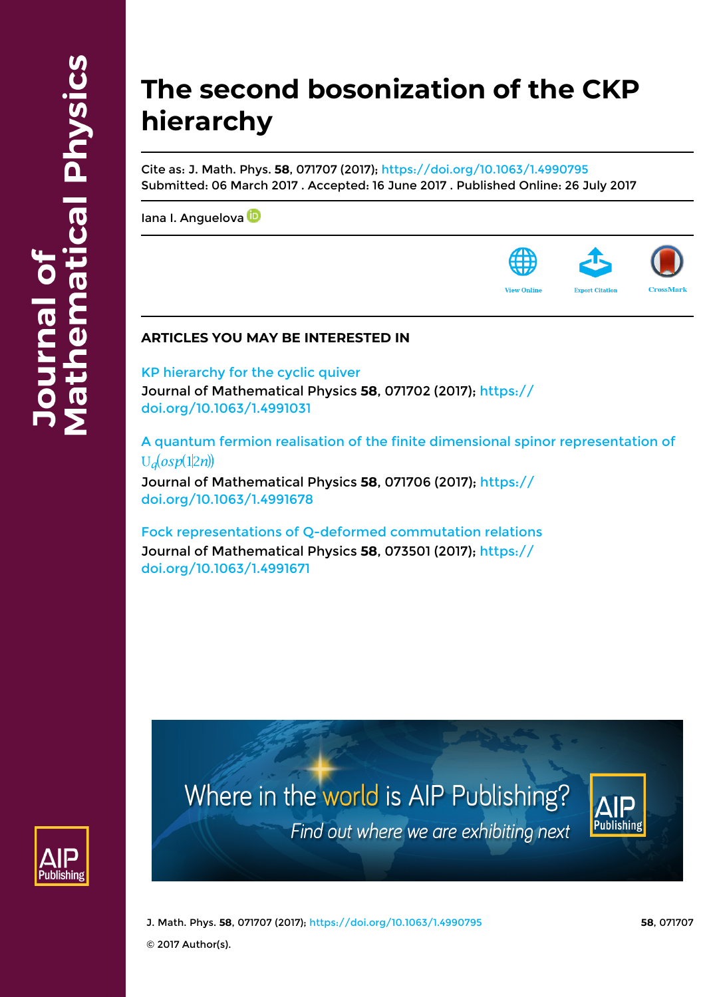# **The second bosonization of the CKP hierarchy**

Cite as: J. Math. Phys. **58**, 071707 (2017);<https://doi.org/10.1063/1.4990795> Submitted: 06 March 2017 . Accepted: 16 June 2017 . Published Online: 26 July 2017

[Iana I. Anguelova](https://aip.scitation.org/author/Anguelova%2C+Iana+I)<sup>D</sup>



### **ARTICLES YOU MAY BE INTERESTED IN**

[KP hierarchy for the cyclic quiver](https://aip.scitation.org/doi/10.1063/1.4991031) Journal of Mathematical Physics **58**, 071702 (2017); [https://](https://doi.org/10.1063/1.4991031) [doi.org/10.1063/1.4991031](https://doi.org/10.1063/1.4991031)

[A quantum fermion realisation of the finite dimensional spinor representation of](https://aip.scitation.org/doi/10.1063/1.4991678)  $U_d(osp(1|2n))$ 

Journal of Mathematical Physics **58**, 071706 (2017); [https://](https://doi.org/10.1063/1.4991678) [doi.org/10.1063/1.4991678](https://doi.org/10.1063/1.4991678)

[Fock representations of Q-deformed commutation relations](https://aip.scitation.org/doi/10.1063/1.4991671) Journal of Mathematical Physics **58**, 073501 (2017); [https://](https://doi.org/10.1063/1.4991671) [doi.org/10.1063/1.4991671](https://doi.org/10.1063/1.4991671)



Where in the world is AIP Publishing? Find out where we are exhibiting next



J. Math. Phys. **58**, 071707 (2017); <https://doi.org/10.1063/1.4990795> **58**, 071707

© 2017 Author(s).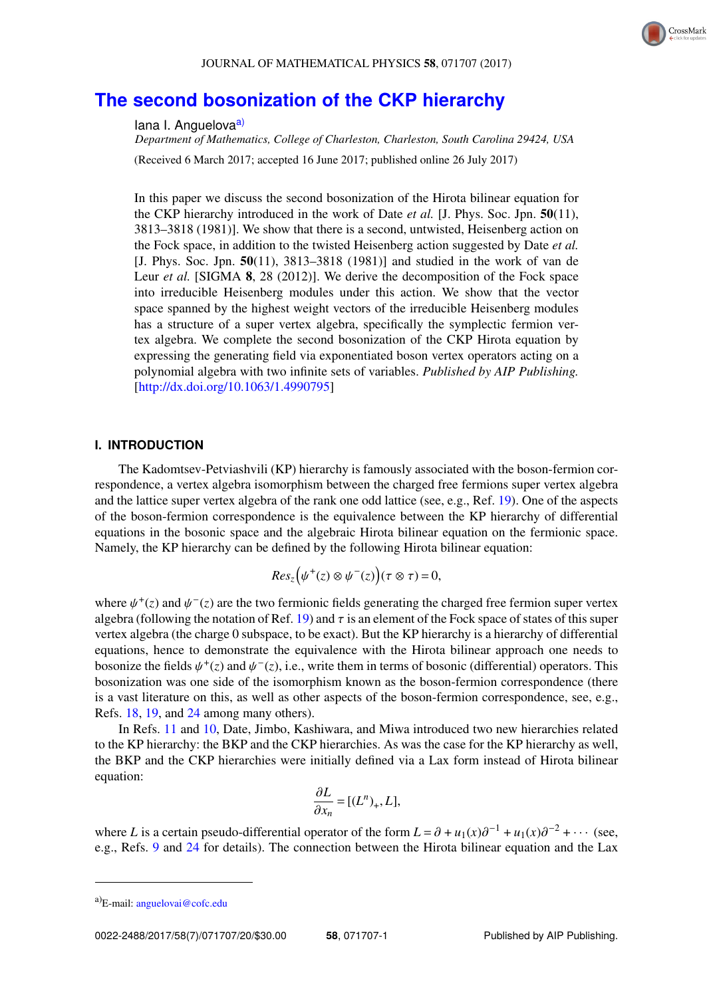

## **[The second bosonization of the CKP hierarchy](http://dx.doi.org/10.1063/1.4990795)**

#### lana I. Anguelova<sup>a)</sup>

*Department of Mathematics, College of Charleston, Charleston, South Carolina 29424, USA*

(Received 6 March 2017; accepted 16 June 2017; published online 26 July 2017)

In this paper we discuss the second bosonization of the Hirota bilinear equation for the CKP hierarchy introduced in the work of Date *et al.* [J. Phys. Soc. Jpn. **50**(11), 3813–3818 (1981)]. We show that there is a second, untwisted, Heisenberg action on the Fock space, in addition to the twisted Heisenberg action suggested by Date *et al.* [J. Phys. Soc. Jpn. **50**(11), 3813–3818 (1981)] and studied in the work of van de Leur *et al.* [SIGMA **8**, 28 (2012)]. We derive the decomposition of the Fock space into irreducible Heisenberg modules under this action. We show that the vector space spanned by the highest weight vectors of the irreducible Heisenberg modules has a structure of a super vertex algebra, specifically the symplectic fermion vertex algebra. We complete the second bosonization of the CKP Hirota equation by expressing the generating field via exponentiated boson vertex operators acting on a polynomial algebra with two infinite sets of variables. *Published by AIP Publishing.* [\[http://dx.doi.org/10.1063/1.4990795\]](http://dx.doi.org/10.1063/1.4990795)

#### **I. INTRODUCTION**

The Kadomtsev-Petviashvili (KP) hierarchy is famously associated with the boson-fermion correspondence, a vertex algebra isomorphism between the charged free fermions super vertex algebra and the lattice super vertex algebra of the rank one odd lattice (see, e.g., Ref. [19\)](#page-19-0). One of the aspects of the boson-fermion correspondence is the equivalence between the KP hierarchy of differential equations in the bosonic space and the algebraic Hirota bilinear equation on the fermionic space. Namely, the KP hierarchy can be defined by the following Hirota bilinear equation:

$$
Res_z(\psi^+(z)\otimes\psi^-(z))(\tau\otimes\tau)=0,
$$

where  $\psi^+(z)$  and  $\psi^-(z)$  are the two fermionic fields generating the charged free fermion super vertex<br>algebra (following the notation of Ref. 19) and  $\tau$  is an element of the Fock space of states of this super algebra (following the notation of Ref. [19\)](#page-19-0) and  $\tau$  is an element of the Fock space of states of this super vertex algebra (the charge 0 subspace, to be exact). But the KP hierarchy is a hierarchy of differential equations, hence to demonstrate the equivalence with the Hirota bilinear approach one needs to bosonize the fields  $\psi^+(z)$  and  $\psi^-(z)$ , i.e., write them in terms of bosonic (differential) operators. This bosonization was one side of the isomorphism known as the boson-fermion correspondence (there bosonization was one side of the isomorphism known as the boson-fermion correspondence (there is a vast literature on this, as well as other aspects of the boson-fermion correspondence, see, e.g., Refs. [18,](#page-19-1) [19,](#page-19-0) and [24](#page-19-2) among many others).

In Refs. [11](#page-19-3) and [10,](#page-19-4) Date, Jimbo, Kashiwara, and Miwa introduced two new hierarchies related to the KP hierarchy: the BKP and the CKP hierarchies. As was the case for the KP hierarchy as well, the BKP and the CKP hierarchies were initially defined via a Lax form instead of Hirota bilinear equation:

$$
\frac{\partial L}{\partial x_n} = [(L^n)_+, L],
$$

where *L* is a certain pseudo-differential operator of the form  $L = \partial + u_1(x)\partial^{-1} + u_1(x)\partial^{-2} + \cdots$  (see,  $\partial$ ,  $\partial$  and 24 for details). The connection between the Hirota bilinear equation and the Lax e.g., Refs. [9](#page-19-5) and [24](#page-19-2) for details). The connection between the Hirota bilinear equation and the Lax

a)E-mail: [anguelovai@cofc.edu](mailto:anguelovai@cofc.edu)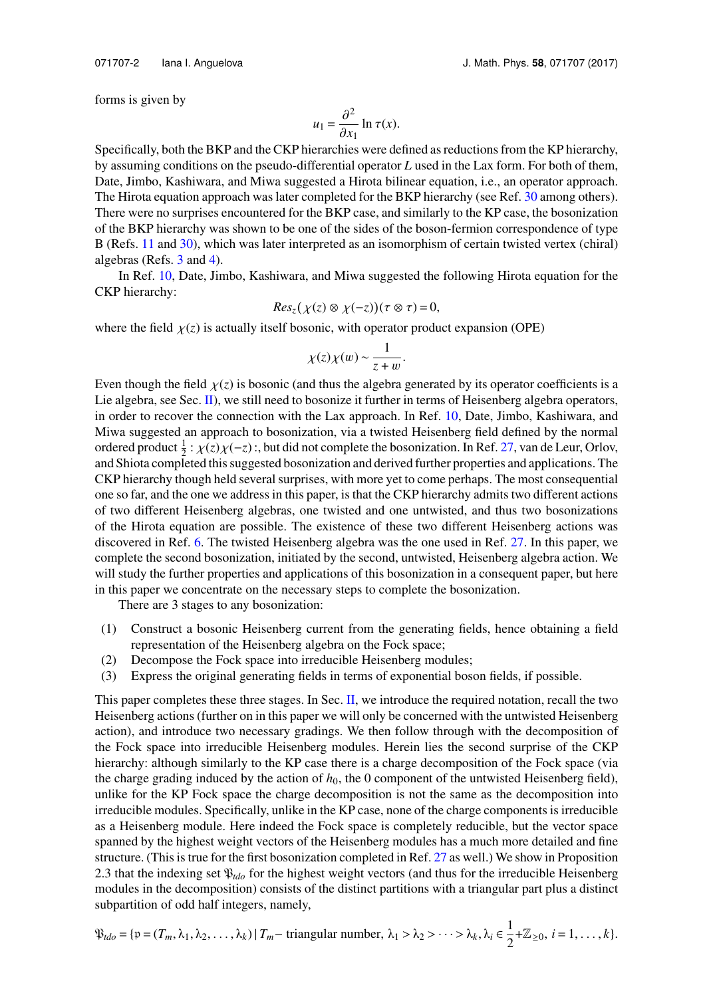forms is given by

$$
u_1 = \frac{\partial^2}{\partial x_1} \ln \tau(x).
$$

 $\partial x_1 \partial x_2$  and the CKP hierarchies were defined as reductions from the KP hierarchy, by assuming conditions on the pseudo-differential operator *L* used in the Lax form. For both of them, Date, Jimbo, Kashiwara, and Miwa suggested a Hirota bilinear equation, i.e., an operator approach. The Hirota equation approach was later completed for the BKP hierarchy (see Ref. [30](#page-20-0) among others). There were no surprises encountered for the BKP case, and similarly to the KP case, the bosonization of the BKP hierarchy was shown to be one of the sides of the boson-fermion correspondence of type B (Refs. [11](#page-19-3) and [30\)](#page-20-0), which was later interpreted as an isomorphism of certain twisted vertex (chiral) algebras (Refs. [3](#page-19-6) and [4\)](#page-19-7).

In Ref. [10,](#page-19-4) Date, Jimbo, Kashiwara, and Miwa suggested the following Hirota equation for the CKP hierarchy:

$$
Res_z(\chi(z) \otimes \chi(-z)) (\tau \otimes \tau) = 0,
$$

where the field  $\chi(z)$  is actually itself bosonic, with operator product expansion (OPE)

$$
\chi(z)\chi(w) \sim \frac{1}{z+w}.
$$

Even though the field  $\chi(z)$  is bosonic (and thus the algebra generated by its operator coefficients is a Lie algebra generators is a Lie algebra generators of Heisenberg algebra operators Lie algebra, see Sec. [II\)](#page-3-0), we still need to bosonize it further in terms of Heisenberg algebra operators, in order to recover the connection with the Lax approach. In Ref. [10,](#page-19-4) Date, Jimbo, Kashiwara, and Miwa suggested an approach to bosonization, via a twisted Heisenberg field defined by the normal ordered product  $\frac{1}{2}$ :  $\chi(z)\chi(-z)$ :, but did not complete the bosonization. In Ref. [27,](#page-20-1) van de Leur, Orlov, and Shiota completed this suggested bosonization and derived further properties and applications. The and Shiota completed this suggested bosonization and derived further properties and applications. The CKP hierarchy though held several surprises, with more yet to come perhaps. The most consequential one so far, and the one we address in this paper, is that the CKP hierarchy admits two different actions of two different Heisenberg algebras, one twisted and one untwisted, and thus two bosonizations of the Hirota equation are possible. The existence of these two different Heisenberg actions was discovered in Ref. [6.](#page-19-8) The twisted Heisenberg algebra was the one used in Ref. [27.](#page-20-1) In this paper, we complete the second bosonization, initiated by the second, untwisted, Heisenberg algebra action. We will study the further properties and applications of this bosonization in a consequent paper, but here in this paper we concentrate on the necessary steps to complete the bosonization.

There are 3 stages to any bosonization:

- (1) Construct a bosonic Heisenberg current from the generating fields, hence obtaining a field representation of the Heisenberg algebra on the Fock space;
- (2) Decompose the Fock space into irreducible Heisenberg modules;
- (3) Express the original generating fields in terms of exponential boson fields, if possible.

This paper completes these three stages. In Sec. [II,](#page-3-0) we introduce the required notation, recall the two Heisenberg actions (further on in this paper we will only be concerned with the untwisted Heisenberg action), and introduce two necessary gradings. We then follow through with the decomposition of the Fock space into irreducible Heisenberg modules. Herein lies the second surprise of the CKP hierarchy: although similarly to the KP case there is a charge decomposition of the Fock space (via the charge grading induced by the action of  $h_0$ , the 0 component of the untwisted Heisenberg field), unlike for the KP Fock space the charge decomposition is not the same as the decomposition into irreducible modules. Specifically, unlike in the KP case, none of the charge components is irreducible as a Heisenberg module. Here indeed the Fock space is completely reducible, but the vector space spanned by the highest weight vectors of the Heisenberg modules has a much more detailed and fine structure. (This is true for the first bosonization completed in Ref. [27](#page-20-1) as well.) We show in Proposition 2.3 that the indexing set P*tdo* for the highest weight vectors (and thus for the irreducible Heisenberg modules in the decomposition) consists of the distinct partitions with a triangular part plus a distinct subpartition of odd half integers, namely,

$$
\mathfrak{P}_{tdo} = \{ \mathfrak{p} = (T_m, \lambda_1, \lambda_2, \dots, \lambda_k) \mid T_m - \text{ triangular number}, \lambda_1 > \lambda_2 > \dots > \lambda_k, \lambda_i \in \frac{1}{2} + \mathbb{Z}_{\geq 0}, \ i = 1, \dots, k \}.
$$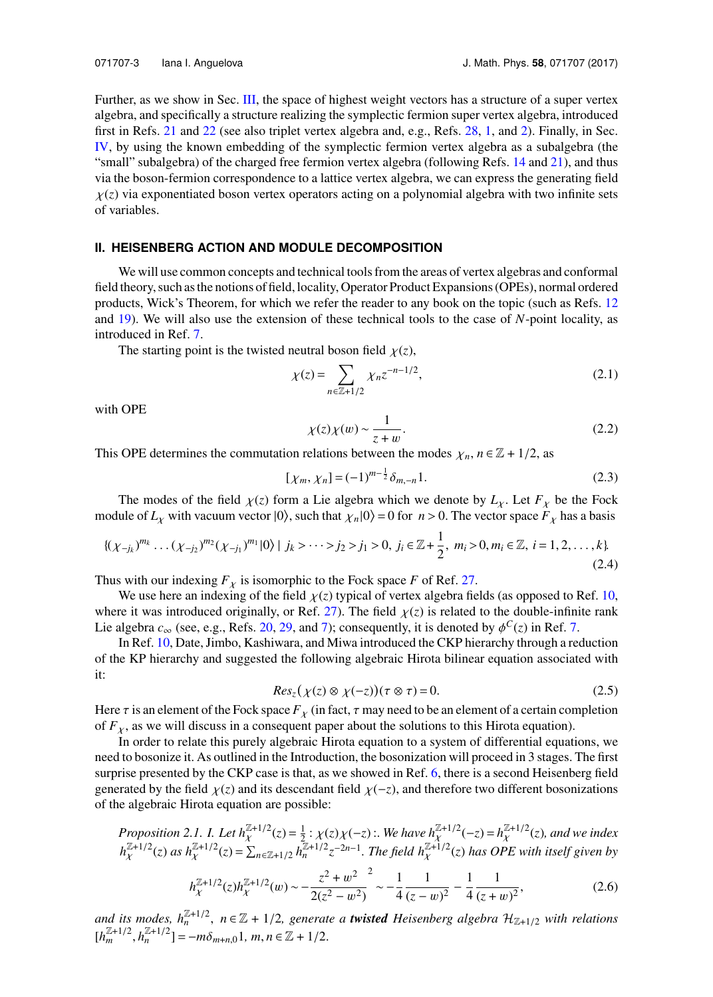Further, as we show in Sec. [III,](#page-8-0) the space of highest weight vectors has a structure of a super vertex algebra, and specifically a structure realizing the symplectic fermion super vertex algebra, introduced first in Refs. [21](#page-19-9) and [22](#page-19-10) (see also triplet vertex algebra and, e.g., Refs. [28,](#page-20-2) [1,](#page-19-11) and [2\)](#page-19-12). Finally, in Sec. [IV,](#page-16-0) by using the known embedding of the symplectic fermion vertex algebra as a subalgebra (the "small" subalgebra) of the charged free fermion vertex algebra (following Refs. [14](#page-19-13) and [21\)](#page-19-9), and thus via the boson-fermion correspondence to a lattice vertex algebra, we can express the generating field  $\chi(z)$  via exponentiated boson vertex operators acting on a polynomial algebra with two infinite sets of variables.

#### <span id="page-3-0"></span>**II. HEISENBERG ACTION AND MODULE DECOMPOSITION**

We will use common concepts and technical tools from the areas of vertex algebras and conformal field theory, such as the notions of field, locality, Operator Product Expansions (OPEs), normal ordered products, Wick's Theorem, for which we refer the reader to any book on the topic (such as Refs. [12](#page-19-14) and [19\)](#page-19-0). We will also use the extension of these technical tools to the case of *N*-point locality, as introduced in Ref. [7.](#page-19-15)

The starting point is the twisted neutral boson field  $\chi(z)$ ,

$$
\chi(z) = \sum_{n \in \mathbb{Z}+1/2} \chi_n z^{-n-1/2},\tag{2.1}
$$

with OPE

$$
\chi(z)\chi(w) \sim \frac{1}{z+w}.\tag{2.2}
$$
relations between the modes  $\kappa$ ,  $n \in \mathbb{Z} + 1/2$  as

This OPE determines the commutation relations between the modes  $\chi_n$ ,  $n \in \mathbb{Z} + 1/2$ , as

$$
[\chi_m, \chi_n] = (-1)^{m - \frac{1}{2}} \delta_{m, -n} 1. \tag{2.3}
$$

The modes of the field  $\chi(z)$  form a Lie algebra which we denote by  $L_{\chi}$ . Let  $F_{\chi}$  be the Fock<br>ule of *L* with vacuum vector  $|0\rangle$  such that  $\chi$   $|0\rangle = 0$  for  $n > 0$ . The vector space *F* has a hasis module of  $L_\chi$  with vacuum vector  $|0\rangle$ , such that  $\chi_n|0\rangle = 0$  for  $n > 0$ . The vector space  $F_\chi$  has a basis

$$
\{(\chi_{-j_k})^{m_k} \dots (\chi_{-j_2})^{m_2} (\chi_{-j_1})^{m_1} |0\rangle \mid j_k > \dots > j_2 > j_1 > 0, \ j_i \in \mathbb{Z} + \frac{1}{2}, \ m_i > 0, m_i \in \mathbb{Z}, \ i = 1, 2, \dots, k\}
$$
\n(2.4)

Thus with our indexing  $F<sub>x</sub>$  is isomorphic to the Fock space *F* of Ref. [27.](#page-20-1)

We use here an indexing of the field  $\chi(z)$  typical of vertex algebra fields (as opposed to Ref. [10,](#page-19-4) where it was introduced originally, or Ref. [27\)](#page-20-1). The field  $\chi(z)$  is related to the double-infinite rank Lie algebra  $c_{\infty}$  (see, e.g., Refs. [20,](#page-19-16) [29,](#page-20-3) and [7\)](#page-19-15); consequently, it is denoted by  $\phi^{C}(z)$  in Ref. [7.](#page-19-15)<br>In Ref. 10, Date, Jimbo, Kashiwara, and Miwa introduced the CKB hierarchy through a re-

<span id="page-3-1"></span>In Ref. [10,](#page-19-4) Date, Jimbo, Kashiwara, and Miwa introduced the CKP hierarchy through a reduction of the KP hierarchy and suggested the following algebraic Hirota bilinear equation associated with it:

$$
Res_z(\chi(z) \otimes \chi(-z)) (\tau \otimes \tau) = 0.
$$
\n(2.5)

Here  $\tau$  is an element of the Fock space  $F_\chi$  (in fact,  $\tau$  may need to be an element of a certain completion of  $F_\chi$  as we will discuss in a consequent paper about the solutions to this Hirota equation) of  $F<sub>x</sub>$ , as we will discuss in a consequent paper about the solutions to this Hirota equation).

In order to relate this purely algebraic Hirota equation to a system of differential equations, we need to bosonize it. As outlined in the Introduction, the bosonization will proceed in 3 stages. The first surprise presented by the CKP case is that, as we showed in Ref. [6,](#page-19-8) there is a second Heisenberg field generated by the field  $\chi(z)$  and its descendant field  $\chi(-z)$ , and therefore two different bosonizations of the algebraic Hirota equation are possible:

Proposition 2.1. I. Let 
$$
h_{\chi}^{Z+1/2}(z) = \frac{1}{2} : \chi(z) \chi(-z)
$$
. We have  $h_{\chi}^{Z+1/2}(-z) = h_{\chi}^{Z+1/2}(z)$ , and we index  $h_{\chi}^{Z+1/2}(z)$  as  $h_{\chi}^{Z+1/2}(z) = \sum_{n \in Z+1/2} h_n^{Z+1/2} z^{-2n-1}$ . The field  $h_{\chi}^{Z+1/2}(z)$  has OPE with itself given by

$$
h_{\chi}^{\mathbb{Z}+1/2}(z)h_{\chi}^{\mathbb{Z}+1/2}(w) \sim -\frac{z^2 + w^2}{2(z^2 - w^2)}^2 \sim -\frac{1}{4} \frac{1}{(z - w)^2} - \frac{1}{4} \frac{1}{(z + w)^2},\tag{2.6}
$$

and its modes,  $h_n^{\mathbb{Z}+1/2}$ ,  $n \in \mathbb{Z} + 1/2$ , generate a **twisted** Heisenberg algebra  $\mathcal{H}_{\mathbb{Z}+1/2}$  with relations  $[h_m^{\mathbb{Z}+1/2}, h_n^{\mathbb{Z}+1/2}] = -m\delta_{m+n,0}1$ ,  $m, n \in \mathbb{Z} + 1/2$ .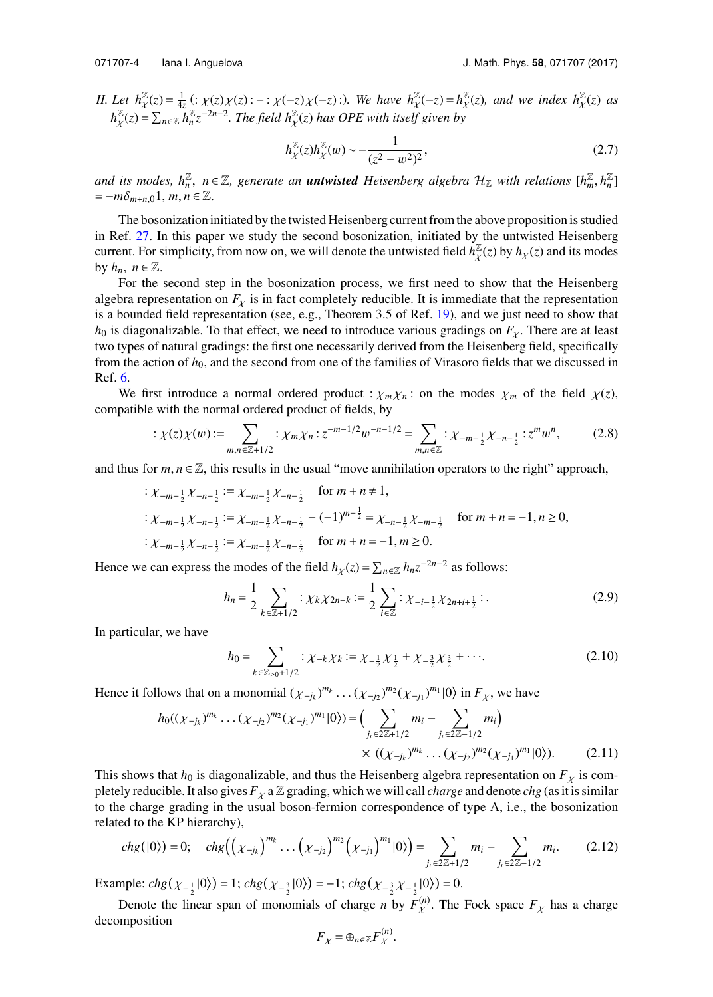*II. Let*  $h_{\mathcal{X}}^{\mathbb{Z}}(z) = \frac{1}{4z}$  (:  $\chi(z)\chi(z)$  : − :  $\chi(-z)\chi(-z)$  :). We have  $h_{\mathcal{X}}^{\mathbb{Z}}(-z) = h_{\mathcal{Z}}^{\mathbb{Z}}$ <br>*h*<sub>Z</sub>(-)  $\sum_{k} L_{k}^{\mathbb{Z}}(-z)^{2n-2}$  The field h<sub>av</sub>(-) has OBE with itself since by  $\frac{\mathbb{Z}}{\chi}(z)$ , and we index  $h_{\chi}^{\mathbb{Z}}(z)$  as  $h^{\mathbb{Z}}_{\nu}$  $\mathbb{Z}^{Z}(z) = \sum_{n \in \mathbb{Z}} h_n^{\mathbb{Z}} z^{-2n-2}$ . The field  $h_X^{\mathbb{Z}}(z)$  has OPE with itself given by

$$
h_{\chi}^{\mathbb{Z}}(z)h_{\chi}^{\mathbb{Z}}(w) \sim -\frac{1}{(z^2 - w^2)^2},
$$
\n(2.7)

and its modes,  $h_n^{\mathbb{Z}}$ ,  $n \in \mathbb{Z}$ , generate an **untwisted** Heisenberg algebra  $\mathcal{H}_{\mathbb{Z}}$  with relations  $[h_m^{\mathbb{Z}}, h_n^{\mathbb{Z}}]$  $=-m\delta_{m+n,0}1, m, n \in \mathbb{Z}$ .

The bosonization initiated by the twisted Heisenberg current from the above proposition is studied in Ref. [27.](#page-20-1) In this paper we study the second bosonization, initiated by the untwisted Heisenberg current. For simplicity, from now on, we will denote the untwisted field  $\vec{h}^{\mathbb{Z}}_{\chi}(z)$  by  $h_{\chi}(z)$  and its modes  $\ddot{\phantom{0}}$ by  $h_n$ ,  $n \in \mathbb{Z}$ .

For the second step in the bosonization process, we first need to show that the Heisenberg algebra representation on  $F_{\chi}$  is in fact completely reducible. It is immediate that the representation is a bounded field representation (see, e.g., Theorem 3.5 of Ref. [19\)](#page-19-0), and we just need to show that  $h_0$  is diagonalizable. To that effect, we need to introduce various gradings on  $F_\chi$ . There are at least two types of natural gradings: the first one necessarily derived from the Heisenberg field, specifically from the action of *h*0, and the second from one of the families of Virasoro fields that we discussed in Ref. [6.](#page-19-8)

We first introduce a normal ordered product :  $\chi_m \chi_n$ : on the modes  $\chi_m$  of the field  $\chi(z)$ , compatible with the normal ordered product of fields, by

$$
\div \chi(z)\chi(w) := \sum_{m,n \in \mathbb{Z}+1/2} \div \chi_m \chi_n \div z^{-m-1/2} w^{-n-1/2} = \sum_{m,n \in \mathbb{Z}} \div \chi_{-m-\frac{1}{2}} \chi_{-n-\frac{1}{2}} \div z^m w^n, \tag{2.8}
$$

and thus for  $m, n \in \mathbb{Z}$ , this results in the usual "move annihilation operators to the right" approach,

$$
\begin{aligned}\n& \frac{1}{2} \cdot \chi_{-m-\frac{1}{2}} \chi_{-n-\frac{1}{2}} & \frac{1}{2} \cdot \chi_{-m-\frac{1}{2}} \chi_{-n-\frac{1}{2}} \quad \text{for } m+n \neq 1, \\
& \frac{1}{2} \cdot \chi_{-m-\frac{1}{2}} \chi_{-n-\frac{1}{2}} & \frac{1}{2} \cdot \chi_{-m-\frac{1}{2}} \chi_{-n-\frac{1}{2}} - (-1)^{m-\frac{1}{2}} & \chi_{-n-\frac{1}{2}} \chi_{-m-\frac{1}{2}} \quad \text{for } m+n = -1, n \ge 0, \\
& \frac{1}{2} \cdot \chi_{-m-\frac{1}{2}} \chi_{-n-\frac{1}{2}} & \frac{1}{2} \cdot \chi_{-m-\frac{1}{2}} \chi_{-n-\frac{1}{2}} \quad \text{for } m+n = -1, m \ge 0.\n\end{aligned}
$$

Hence we can express the modes of the field  $h_{\chi}(z) = \sum_{n \in \mathbb{Z}} h_n z^{-2n-2}$  as follows:

$$
h_n = \frac{1}{2} \sum_{k \in \mathbb{Z}+1/2} : \chi_k \chi_{2n-k} := \frac{1}{2} \sum_{i \in \mathbb{Z}} : \chi_{-i-\frac{1}{2}} \chi_{2n+i+\frac{1}{2}} : .
$$
 (2.9)

In particular, we have

$$
h_0 = \sum_{k \in \mathbb{Z}_{\geq 0}+1/2} : \chi_{-k} \chi_k := \chi_{-\frac{1}{2}} \chi_{\frac{1}{2}} + \chi_{-\frac{3}{2}} \chi_{\frac{3}{2}} + \cdots. \tag{2.10}
$$

Hence it follows that on a monomial  $(\chi_{-j_k})^{m_k} \cdots (\chi_{-j_2})^{m_2} (\chi_{-j_1})^{m_1} |0\rangle$  in  $F_\chi$ , we have

$$
h_0((\chi_{-j_k})^{m_k}\dots(\chi_{-j_2})^{m_2}(\chi_{-j_1})^{m_1}|0\rangle) = \Big(\sum_{j_i\in 2\mathbb{Z}+1/2} m_i - \sum_{j_i\in 2\mathbb{Z}-1/2} m_i\Big) \times ((\chi_{-j_k})^{m_k}\dots(\chi_{-j_2})^{m_2}(\chi_{-j_1})^{m_1}|0\rangle). \tag{2.11}
$$

This shows that  $h_0$  is diagonalizable, and thus the Heisenberg algebra representation on  $F<sub>x</sub>$  is completely reducible. It also gives  $F_{\chi}$  a  $\mathbb{Z}$  grading, which we will call *charge* and denote *chg* (as it is similar to the charge grading in the usual boson-fermion correspondence of type A, i.e., the bosonization related to the KP hierarchy),

$$
chg(|0\rangle) = 0; \quad chg\left(\left(\chi_{-j_k}\right)^{m_k}\dots\left(\chi_{-j_2}\right)^{m_2}\left(\chi_{-j_1}\right)^{m_1}|0\rangle\right) = \sum_{j_i \in 2\mathbb{Z}+1/2} m_i - \sum_{j_i \in 2\mathbb{Z}-1/2} m_i. \tag{2.12}
$$

Example:  $chg(\chi_{-\frac{1}{2}}|0\rangle) = 1$ ;  $chg(\chi_{-\frac{3}{2}}|0\rangle) = -1$ ;  $chg(\chi_{-\frac{3}{2}}\chi_{-\frac{1}{2}}|0\rangle) = 0$ .

Denote the linear span of monomials of charge *n* by  $F_{\chi}^{(n)}$ . The Fock space  $F_{\chi}$  has a charge monosition decomposition

$$
F_{\chi} = \oplus_{n \in \mathbb{Z}} F_{\chi}^{(n)}.
$$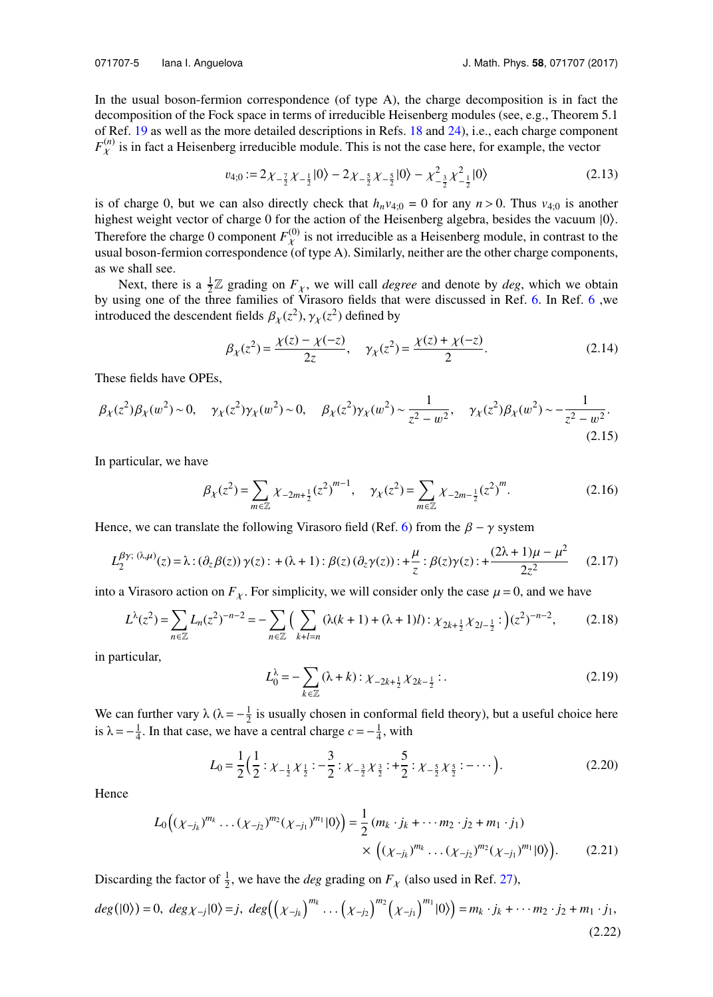In the usual boson-fermion correspondence (of type A), the charge decomposition is in fact the decomposition of the Fock space in terms of irreducible Heisenberg modules (see, e.g., Theorem 5.1 of Ref. [19](#page-19-0) as well as the more detailed descriptions in Refs. [18](#page-19-1) and [24\)](#page-19-2), i.e., each charge component  $F_{\chi}^{(n)}$  is in fact a Heisenberg irreducible module. This is not the case here, for example, the vector

<span id="page-5-0"></span>
$$
v_{4;0} := 2\chi_{-\frac{7}{2}}\chi_{-\frac{1}{2}}|0\rangle - 2\chi_{-\frac{5}{2}}\chi_{-\frac{5}{2}}|0\rangle - \chi_{-\frac{3}{2}}^2\chi_{-\frac{1}{2}}^2|0\rangle
$$
 (2.13)

is of charge 0, but we can also directly check that  $h_n v_{4;0} = 0$  for any  $n > 0$ . Thus  $v_{4;0}$  is another highest weight vector of charge 0 for the action of the Heisenberg algebra, besides the vacuum  $|0\rangle$ . Therefore the charge 0 component  $F_{\chi}^{(0)}$  is not irreducible as a Heisenberg module, in contrast to the usual boson-fermion correspondence (of type A). Similarly, neither are the other charge components, as we shall see.

Next, there is a  $\frac{1}{2}\mathbb{Z}$  grading on  $F_{\chi}$ , we will call *degree* and denote by *deg*, which we obtain by using one of the three families of Virasoro fields that were discussed in Ref. [6.](#page-19-8) In Ref. [6](#page-19-8) ,we introduced the descendent fields  $\beta_{\chi}(z^2), \gamma_{\chi}(z^2)$  defined by

$$
\beta_{\chi}(z^2) = \frac{\chi(z) - \chi(-z)}{2z}, \quad \gamma_{\chi}(z^2) = \frac{\chi(z) + \chi(-z)}{2}.
$$
\n(2.14)

These fields have OPEs,

$$
\beta_{\chi}(z^2)\beta_{\chi}(w^2) \sim 0, \quad \gamma_{\chi}(z^2)\gamma_{\chi}(w^2) \sim 0, \quad \beta_{\chi}(z^2)\gamma_{\chi}(w^2) \sim \frac{1}{z^2 - w^2}, \quad \gamma_{\chi}(z^2)\beta_{\chi}(w^2) \sim -\frac{1}{z^2 - w^2}.
$$
\n(2.15)

In particular, we have

$$
\beta_{\chi}(z^2) = \sum_{m \in \mathbb{Z}} \chi_{-2m + \frac{1}{2}}(z^2)^{m-1}, \quad \gamma_{\chi}(z^2) = \sum_{m \in \mathbb{Z}} \chi_{-2m - \frac{1}{2}}(z^2)^m.
$$
 (2.16)

Hence, we can translate the following Virasoro field (Ref. [6\)](#page-19-8) from the  $\beta - \gamma$  system

$$
L_2^{\beta\gamma; (\lambda,\mu)}(z) = \lambda : (\partial_z \beta(z)) \gamma(z) : + (\lambda + 1) : \beta(z) (\partial_z \gamma(z)) : + \frac{\mu}{z} : \beta(z) \gamma(z) : + \frac{(2\lambda + 1)\mu - \mu^2}{2z^2} \tag{2.17}
$$

into a Virasoro action on  $F<sub>\chi</sub>$ . For simplicity, we will consider only the case  $\mu = 0$ , and we have

$$
L^{\lambda}(z^2) = \sum_{n \in \mathbb{Z}} L_n(z^2)^{-n-2} = -\sum_{n \in \mathbb{Z}} \Big( \sum_{k+l=n} (\lambda(k+1) + (\lambda+1)l) : \chi_{2k+\frac{1}{2}} \chi_{2l-\frac{1}{2}} : \Big) (z^2)^{-n-2},\tag{2.18}
$$

in particular,

$$
L_0^{\lambda} = -\sum_{k \in \mathbb{Z}} (\lambda + k) : \chi_{-2k + \frac{1}{2}} \chi_{2k - \frac{1}{2}} : .
$$
 (2.19)

We can further vary  $\lambda$  ( $\lambda = -\frac{1}{2}$  is usually chosen in conformal field theory), but a useful choice here is  $\lambda = -\frac{1}{4}$ . In that case, we have a central charge  $c = -\frac{1}{4}$ , with

$$
L_0 = \frac{1}{2} \left( \frac{1}{2} : \chi_{-\frac{1}{2}} \chi_{\frac{1}{2}} : -\frac{3}{2} : \chi_{-\frac{3}{2}} \chi_{\frac{3}{2}} : +\frac{5}{2} : \chi_{-\frac{5}{2}} \chi_{\frac{5}{2}} : -\cdots \right).
$$
 (2.20)

Hence

$$
L_0((\chi_{-j_k})^{m_k}\dots(\chi_{-j_2})^{m_2}(\chi_{-j_1})^{m_1}|0\rangle) = \frac{1}{2}(m_k \cdot j_k + \dots + m_2 \cdot j_2 + m_1 \cdot j_1) \times ((\chi_{-j_k})^{m_k} \dots (\chi_{-j_2})^{m_2}(\chi_{-j_1})^{m_1}|0\rangle).
$$
 (2.21)

Discarding the factor of  $\frac{1}{2}$ , we have the *deg* grading on  $F_{\chi}$  (also used in Ref. [27\)](#page-20-1),

$$
deg(|0\rangle) = 0, \ deg\chi_{-j}|0\rangle = j, \ deg\Big(\Big(\chi_{-j_k}\Big)^{m_k} \dots \Big(\chi_{-j_2}\Big)^{m_2} \Big(\chi_{-j_1}\Big)^{m_1}|0\rangle\Big) = m_k \cdot j_k + \dots + m_2 \cdot j_2 + m_1 \cdot j_1,
$$
\n(2.22)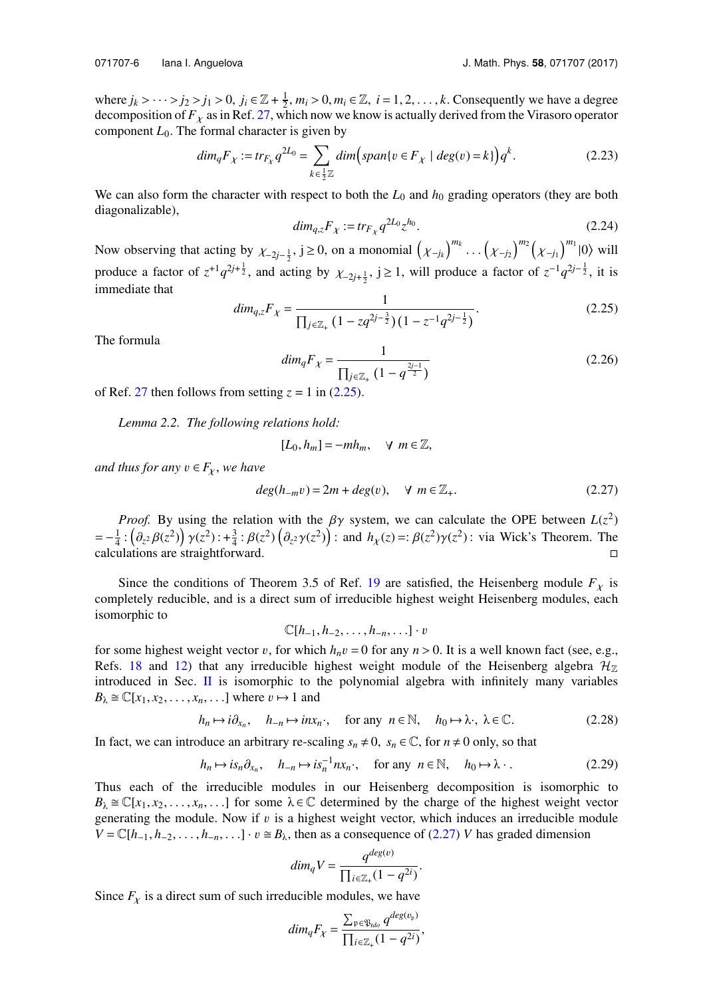$$
dim_q F_\chi := tr_{F_\chi} q^{2L_0} = \sum_{k \in \frac{1}{2}\mathbb{Z}} dim \Big( span\{v \in F_\chi \mid deg(v) = k\} \Big) q^k.
$$
 (2.23)

We can also form the character with respect to both the  $L_0$  and  $h_0$  grading operators (they are both diagonalizable),

$$
dim_{q,z}F_{\chi} := tr_{F_{\chi}} q^{2L_0} z^{h_0}.
$$
\n(2.24)

Now observing that acting by  $\chi_{-2j-\frac{1}{2}}$ ,  $j \ge 0$ , on a monomial  $(\chi_{-j_k})$  $\big)^{m_k} \cdots \big(\chi_{-j_2}$  $\int^{m_2} \left( \chi_{-j_1} \right)$  $\int^{m_1}$  |0 $\rangle$  will produce a factor of  $z^{-1}q^{2j+\frac{1}{2}}$ , and acting by  $\chi_{-2j+\frac{1}{2}}$ ,  $j \ge 1$ , will produce a factor of  $z^{-1}q^{2j-\frac{1}{2}}$ , it is immediate that

<span id="page-6-0"></span>
$$
dim_{q,z}F_{\chi} = \frac{1}{\prod_{j\in\mathbb{Z}_+}(1 - zq^{2j-\frac{3}{2}})(1 - z^{-1}q^{2j-\frac{1}{2}})}.
$$
\n(2.25)

<span id="page-6-2"></span>The formula

$$
dim_q F_\chi = \frac{1}{\prod_{j \in \mathbb{Z}_+} \left(1 - q^{\frac{2j-1}{2}}\right)}\tag{2.26}
$$

of Ref. [27](#page-20-1) then follows from setting  $z = 1$  in [\(2.25\)](#page-6-0).

*Lemma 2.2. The following relations hold:*

<span id="page-6-1"></span>
$$
[L_0, h_m] = -mh_m, \quad \forall \ m \in \mathbb{Z},
$$

*and thus for any*  $v \in F_\chi$ , we have

$$
deg(h_{-m}v) = 2m + deg(v), \quad \forall \ m \in \mathbb{Z}_+.
$$
 (2.27)

*Proof.* By using the relation with the  $\beta\gamma$  system, we can calculate the OPE between  $L(z^2)$ <br>  $\therefore (a, \beta(z^2)) \alpha(z^2) \cdot 1^3 \cdot \beta(z^2) (\hat{\beta} \cdot \alpha(z^2)) \cdot$  and  $h(z) = \beta(z^2) \alpha(z^2) \cdot \beta(x^2) \cdot \beta(x^2)$  $=-\frac{1}{4}$ :  $(\partial_{z^2}\beta(z^2))\gamma(z^2)$ :  $+\frac{3}{4}$ :  $\beta(z^2)(\partial_{z^2}\gamma(z^2))$ : and  $h_\chi(z) =:\beta(z^2)\gamma(z^2)$ : via Wick's Theorem. The calculations are straightforward  $\vec{a} = -\frac{1}{4} \cdot (v_z^2 p(z)) \gamma(z) \cdot + \frac{1}{4} \cdot p(z) (v_z^2 \gamma(z))$ . and  $n_x(z) = p(z) \gamma(z)$ . Via wick s Theorem. The calculations are straightforward.

Since the conditions of Theorem 3.5 of Ref. [19](#page-19-0) are satisfied, the Heisenberg module  $F<sub>\chi</sub>$  is completely reducible, and is a direct sum of irreducible highest weight Heisenberg modules, each isomorphic to

$$
\mathbb{C}[h_{-1}, h_{-2}, \ldots, h_{-n}, \ldots] \cdot v
$$

for some highest weight vector v, for which  $h_n v = 0$  for any  $n > 0$ . It is a well known fact (see, e.g., Refs. 18, and 12) that any irreducible highest weight module of the Heisenberg algebra  $\mathcal{H}_n$ Refs. [18](#page-19-1) and [12\)](#page-19-14) that any irreducible highest weight module of the Heisenberg algebra  $\mathcal{H}_{\mathbb{Z}}$ introduced in Sec.  $\overline{II}$  $\overline{II}$  $\overline{II}$  is isomorphic to the polynomial algebra with infinitely many variables  $B_\lambda \cong \mathbb{C}[x_1, x_2, \ldots, x_n, \ldots]$  where  $v \mapsto 1$  and

$$
h_n \mapsto i\partial_{x_n}, \quad h_{-n} \mapsto inx_n, \quad \text{for any } n \in \mathbb{N}, \quad h_0 \mapsto \lambda, \ \lambda \in \mathbb{C}.
$$
 (2.28)

In fact, we can introduce an arbitrary re-scaling  $s_n \neq 0$ ,  $s_n \in \mathbb{C}$ , for  $n \neq 0$  only, so that

$$
h_n \mapsto i s_n \partial_{x_n}, \quad h_{-n} \mapsto i s_n^{-1} n x_n, \quad \text{for any } n \in \mathbb{N}, \quad h_0 \mapsto \lambda \quad . \tag{2.29}
$$

.

Thus each of the irreducible modules in our Heisenberg decomposition is isomorphic to  $B_\lambda \cong \mathbb{C}[x_1, x_2, \dots, x_n, \dots]$  for some  $\lambda \in \mathbb{C}$  determined by the charge of the highest weight vector generating the module. Now if  $v$  is a highest weight vector, which induces an irreducible module  $V = \mathbb{C}[h_{-1}, h_{-2}, \ldots, h_{-n}, \ldots] \cdot v \cong B_{\lambda}$ , then as a consequence of [\(2.27\)](#page-6-1) *V* has graded dimension

$$
dim_q V = \frac{q^{deg(v)}}{\prod_{i \in \mathbb{Z}_+} (1 - q^{2i})}
$$

Since  $F_{\chi}$  is a direct sum of such irreducible modules, we have

$$
dim_q F_\chi = \frac{\sum_{\mathfrak{p} \in \mathfrak{P}_{\mathit{tdo}}} q^{\mathit{deg}(v_{\mathfrak{p}})}}{\prod_{i \in \mathbb{Z}_+} (1 - q^{2i})},
$$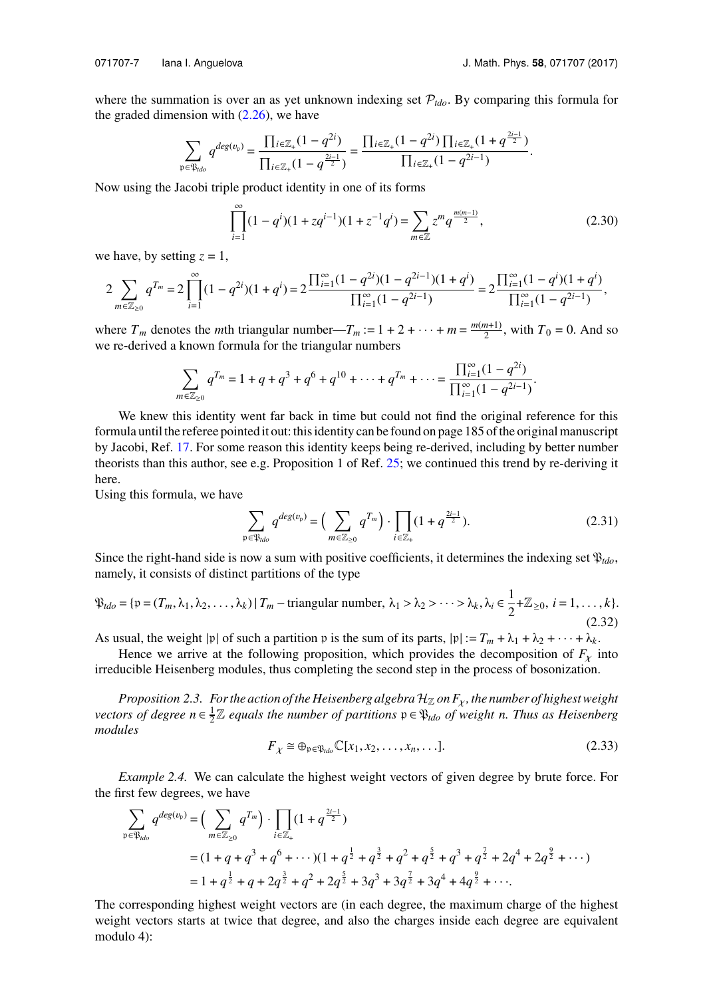the graded dimension with  $(2.26)$ , we have

where the summation is over an as yet unknown indexing set  $P_{tdo}$ . By comparing this formula for

$$
\sum_{\mathfrak{p}\in \mathfrak{P}_{ido}}q^{deg(v_{\mathfrak{p}})}=\frac{\prod_{i\in \mathbb{Z}_+}(1-q^{2i})}{\prod_{i\in \mathbb{Z}_+}(1-q^{\frac{2i-1}{2}})}=\frac{\prod_{i\in \mathbb{Z}_+}(1-q^{2i})\prod_{i\in \mathbb{Z}_+}(1+q^{\frac{2i-1}{2}})}{\prod_{i\in \mathbb{Z}_+}(1-q^{2i-1})}.
$$

Now using the Jacobi triple product identity in one of its forms

$$
\prod_{i=1}^{\infty} (1 - q^i)(1 + zq^{i-1})(1 + z^{-1}q^i) = \sum_{m \in \mathbb{Z}} z^m q^{\frac{m(m-1)}{2}},
$$
\n(2.30)

we have, by setting  $z = 1$ ,

$$
2\sum_{m\in\mathbb{Z}_{\geq 0}}q^{T_m}=2\prod_{i=1}^{\infty}(1-q^{2i})(1+q^i)=2\frac{\prod_{i=1}^{\infty}(1-q^{2i})(1-q^{2i-1})(1+q^i)}{\prod_{i=1}^{\infty}(1-q^{2i-1})}=2\frac{\prod_{i=1}^{\infty}(1-q^i)(1+q^i)}{\prod_{i=1}^{\infty}(1-q^{2i-1})},
$$

where  $T_m$  denotes the *m*th triangular number— $T_m := 1 + 2 + \cdots + m = \frac{m(m+1)}{2}$  $\frac{n+1}{2}$ , with  $T_0 = 0$ . And so we re-derived a known formula for the triangular numbers

$$
\sum_{m \in \mathbb{Z}_{\geq 0}} q^{T_m} = 1 + q + q^3 + q^6 + q^{10} + \dots + q^{T_m} + \dots = \frac{\prod_{i=1}^{\infty} (1 - q^{2i})}{\prod_{i=1}^{\infty} (1 - q^{2i-1})}.
$$

We knew this identity went far back in time but could not find the original reference for this formula until the referee pointed it out: this identity can be found on page 185 of the original manuscript by Jacobi, Ref. [17.](#page-19-17) For some reason this identity keeps being re-derived, including by better number theorists than this author, see e.g. Proposition 1 of Ref. [25;](#page-20-4) we continued this trend by re-deriving it here.

Using this formula, we have

$$
\sum_{\mathfrak{p}\in \mathfrak{P}_{\textit{ldo}}} q^{\textit{deg}(v_{\mathfrak{p}})} = \Big(\sum_{m\in \mathbb{Z}_{\geq 0}} q^{T_m}\Big) \cdot \prod_{i\in \mathbb{Z}_+} (1 + q^{\frac{2i-1}{2}}). \tag{2.31}
$$

Since the right-hand side is now a sum with positive coefficients, it determines the indexing set  $\mathfrak{P}_{tdo}$ , namely, it consists of distinct partitions of the type

$$
\mathfrak{P}_{tdo} = \{ \mathfrak{p} = (T_m, \lambda_1, \lambda_2, \dots, \lambda_k) \mid T_m - \text{triangular number}, \ \lambda_1 > \lambda_2 > \dots > \lambda_k, \ \lambda_i \in \frac{1}{2} + \mathbb{Z}_{\geq 0}, \ i = 1, \dots, k \}. \tag{2.32}
$$

As usual, the weight |p| of such a partition p is the sum of its parts,  $|p| := T_m + \lambda_1 + \lambda_2 + \cdots + \lambda_k$ .

Hence we arrive at the following proposition, which provides the decomposition of  $F<sub>x</sub>$  into irreducible Heisenberg modules, thus completing the second step in the process of bosonization.

*Proposition 2.3. For the action of the Heisenberg algebra*  $\mathcal{H}_{\mathbb{Z}}$  *on*  $F_{\chi}$ *, the number of highest weight vectors of degree*  $n \in \frac{1}{2} \mathbb{Z}$  *equals the number of partitions*  $\mathfrak{p} \in \mathfrak{P}_{tdo}$  *of weight n. Thus as Heisenberg modules*

$$
F_{\chi} \cong \oplus_{\mathfrak{p} \in \mathfrak{P}_{\mathit{tdo}}} \mathbb{C}[x_1, x_2, \dots, x_n, \dots].
$$
\n(2.33)

*Example 2.4.* We can calculate the highest weight vectors of given degree by brute force. For the first few degrees, we have

$$
\sum_{p \in \mathfrak{P}_{\text{rdo}}} q^{\text{deg}(v_p)} = \left( \sum_{m \in \mathbb{Z}_{\geq 0}} q^{T_m} \right) \cdot \prod_{i \in \mathbb{Z}_+} (1 + q^{\frac{2i-1}{2}})
$$
\n
$$
= (1 + q + q^3 + q^6 + \cdots)(1 + q^{\frac{1}{2}} + q^{\frac{3}{2}} + q^2 + q^{\frac{5}{2}} + q^3 + q^{\frac{7}{2}} + 2q^4 + 2q^{\frac{9}{2}} + \cdots)
$$
\n
$$
= 1 + q^{\frac{1}{2}} + q + 2q^{\frac{3}{2}} + q^2 + 2q^{\frac{5}{2}} + 3q^3 + 3q^{\frac{7}{2}} + 3q^4 + 4q^{\frac{9}{2}} + \cdots.
$$

The corresponding highest weight vectors are (in each degree, the maximum charge of the highest weight vectors starts at twice that degree, and also the charges inside each degree are equivalent modulo 4):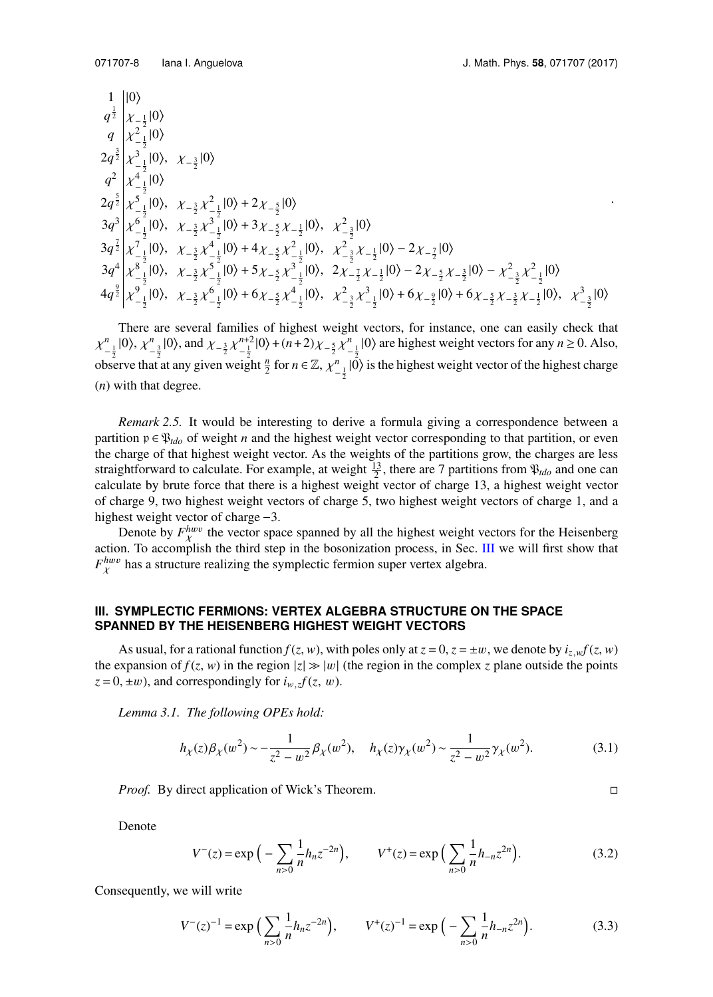.

1 |0\rangle  
\n
$$
q^{\frac{1}{2}}\begin{vmatrix} 1 & 0 \\ \chi_{-\frac{1}{2}} & 0 \\ \chi_{-\frac{1}{2}}^2 & 0 \end{vmatrix}
$$
  
\n2 $q^{\frac{3}{2}}\begin{vmatrix} \chi_{-\frac{1}{2}}^2 & 10 \\ \chi_{-\frac{1}{2}}^2 & 10 \end{vmatrix}$ ,  $\chi_{-\frac{3}{2}}^2 \chi_{-\frac{1}{2}}^2 & 10 \rangle$   
\n2 $q^{\frac{5}{2}}\begin{vmatrix} \chi_{-\frac{1}{2}}^2 & 10 \\ \chi_{-\frac{1}{2}}^2 & 10 \end{vmatrix}$ ,  $\chi_{-\frac{3}{2}}^2 \chi_{-\frac{1}{2}}^2 & 10 \rangle + 2\chi_{-\frac{5}{2}}^2 & 10 \rangle$   
\n3 $q^3 \begin{vmatrix} \chi_{-\frac{1}{2}}^2 & 10 \\ \chi_{-\frac{1}{2}}^2 & 10 \end{vmatrix}$ ,  $\chi_{-\frac{3}{2}}^2 \chi_{-\frac{1}{2}}^2 & 10 \rangle + 3\chi_{-\frac{5}{2}} \chi_{-\frac{1}{2}}^2 & 10 \rangle$ ,  $\chi_{-\frac{3}{2}}^2 \chi_{-\frac{1}{2}}^2 & 10 \rangle - 2\chi_{-\frac{7}{2}}^2 & 10 \rangle$   
\n3 $q^4 \begin{vmatrix} \chi_{-\frac{1}{2}}^2 & 10 \\ \chi_{-\frac{1}{2}}^2 & 10 \end{vmatrix}$ ,  $\chi_{-\frac{3}{2}}^2 \chi_{-\frac{1}{2}}^2 & 10 \rangle + 5\chi_{-\frac{5}{2}}^2 \chi_{-\frac{1}{2}}^2 & 10 \rangle$ ,  $2\chi_{-\frac{7}{2}} \chi_{-\frac{1}{2}}^2 & 10 \rangle - 2\chi_{-\frac{5}{2}} \chi_{-\frac{3}{2}}^2 & 10 \rangle - \chi_{-\frac{3}{2}}^2 \chi_{-\frac{1}{2}}^2 & 10 \rangle$   
\n4 $q^{\frac{9}{2}} \begin{vmatrix} \chi_{-\frac{1}{2}}^2 & 10 \\ \chi_{-\frac{1}{2}}^2 & 10 \end{vmatrix}$ ,  $\chi_{-\frac{3}{2}}^2 \$ 

There are several families of highest weight vectors, for instance, one can easily check that  $\ddot{\phantom{0}}$ *n*  $\int_{-\frac{1}{2}}^{n} |0\rangle, \chi_{-}^{n}$  $\int_{-\frac{3}{2}}^n |0\rangle$ , and  $\chi_{-\frac{3}{2}}\chi$ *n*+2  $\lambda^{n+2} |0\rangle + (n+2)\chi_{-\frac{5}{2}}\chi$ *n*  $\binom{n}{-\frac{1}{2}}$  (0) are highest weight vectors for any *n* ≥ 0. Also, observe that at any given weight  $\frac{n}{2}$  for  $n \in \mathbb{Z}$ ,  $\chi_{-}^n$  $\binom{n}{-\frac{1}{2}}$  |0) is the highest weight vector of the highest charge (*n*) with that degree.

*Remark 2.5.* It would be interesting to derive a formula giving a correspondence between a partition  $p \in \mathcal{P}_{tdo}$  of weight *n* and the highest weight vector corresponding to that partition, or even the charge of that highest weight vector. As the weights of the partitions grow, the charges are less straightforward to calculate. For example, at weight  $\frac{13}{2}$ , there are 7 partitions from  $\mathfrak{P}_{tdo}$  and one can calculate by brute force that there is a highest weight vector of charge 13, a highest weight vector of charge 9, two highest weight vectors of charge 5, two highest weight vectors of charge 1, and a highest weight vector of charge  $-3$ .

Denote by  $F_X^{hww}$  the vector space spanned by all the highest weight vectors for the Heisenberg<br>Sec. III we will first show that action. To accomplish the third step in the bosonization process, in Sec. [III](#page-8-0) we will first show that  $F_{\chi}^{h w v}$  has a structure realizing the symplectic fermion super vertex algebra.

#### <span id="page-8-0"></span>**III. SYMPLECTIC FERMIONS: VERTEX ALGEBRA STRUCTURE ON THE SPACE SPANNED BY THE HEISENBERG HIGHEST WEIGHT VECTORS**

As usual, for a rational function  $f(z, w)$ , with poles only at  $z = 0$ ,  $z = \pm w$ , we denote by  $i_z, w f(z, w)$ the expansion of  $f(z, w)$  in the region  $|z| \gg |w|$  (the region in the complex *z* plane outside the points  $z = 0, \pm w$ , and correspondingly for  $i_{w,z} f(z, w)$ .

*Lemma 3.1. The following OPEs hold:*

$$
h_{\chi}(z)\beta_{\chi}(w^{2}) \sim -\frac{1}{z^{2}-w^{2}}\beta_{\chi}(w^{2}), \quad h_{\chi}(z)\gamma_{\chi}(w^{2}) \sim \frac{1}{z^{2}-w^{2}}\gamma_{\chi}(w^{2}).
$$
\n(3.1)

*Proof.* By direct application of Wick's Theorem.

Denote

$$
V^{-}(z) = \exp\left(-\sum_{n>0} \frac{1}{n} h_n z^{-2n}\right), \qquad V^{+}(z) = \exp\left(\sum_{n>0} \frac{1}{n} h_{-n} z^{2n}\right).
$$
 (3.2)

Consequently, we will write

$$
V^{-}(z)^{-1} = \exp\Big(\sum_{n>0} \frac{1}{n} h_n z^{-2n}\Big), \qquad V^{+}(z)^{-1} = \exp\Big(-\sum_{n>0} \frac{1}{n} h_{-n} z^{2n}\Big). \tag{3.3}
$$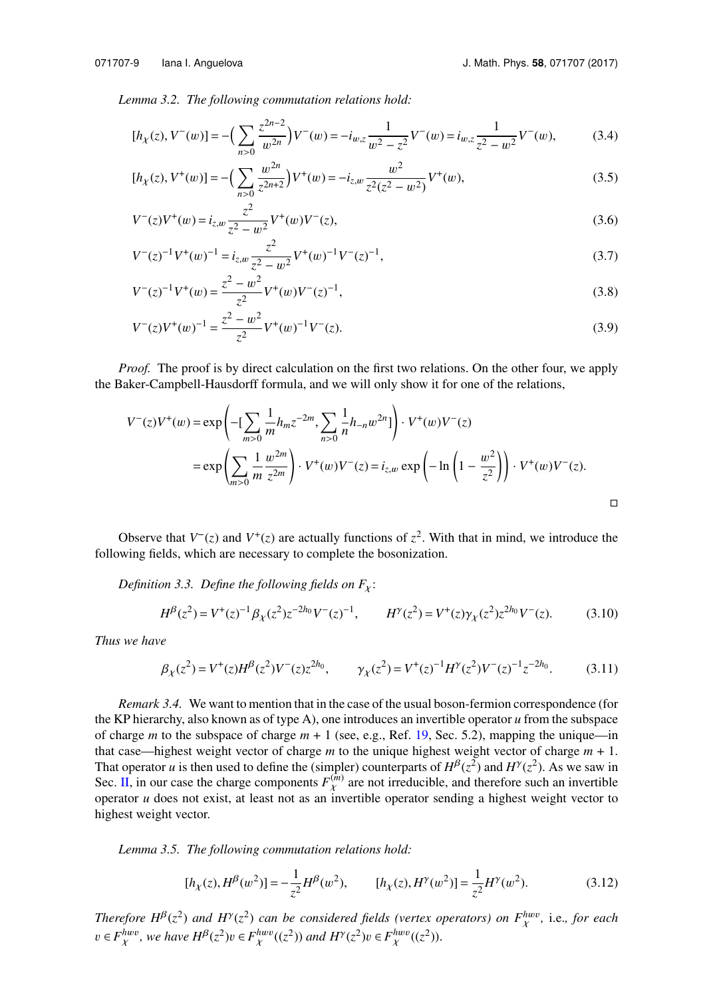*Lemma 3.2. The following commutation relations hold:*

$$
[h_{\chi}(z), V^{-}(w)] = -\Big(\sum_{n>0} \frac{z^{2n-2}}{w^{2n}}\Big)V^{-}(w) = -i_{w,z}\frac{1}{w^{2}-z^{2}}V^{-}(w) = i_{w,z}\frac{1}{z^{2}-w^{2}}V^{-}(w),\tag{3.4}
$$

$$
[h_{\chi}(z), V^{+}(w)] = -\left(\sum_{n>0} \frac{w^{2n}}{z^{2n+2}}\right) V^{+}(w) = -i_{z,w} \frac{w^{2}}{z^{2}(z^{2} - w^{2})} V^{+}(w),\tag{3.5}
$$

$$
V^{-}(z)V^{+}(w) = i_{z,w} \frac{z^{2}}{z^{2} - w^{2}} V^{+}(w)V^{-}(z),
$$
\n(3.6)

$$
V^{-}(z)^{-1}V^{+}(w)^{-1} = i_{z,w} \frac{z^{2}}{z^{2} - w^{2}} V^{+}(w)^{-1}V^{-}(z)^{-1},
$$
\n
$$
i_{z,w}^{2} = w^{2}
$$
\n(3.7)

$$
V^{-}(z)^{-1}V^{+}(w) = \frac{z^{2} - w^{2}}{z^{2}}V^{+}(w)V^{-}(z)^{-1},
$$
\n(3.8)

$$
V^{-}(z)V^{+}(w)^{-1} = \frac{z^{2} - w^{2}}{z^{2}}V^{+}(w)^{-1}V^{-}(z).
$$
\n(3.9)

*Proof.* The proof is by direct calculation on the first two relations. On the other four, we apply the Baker-Campbell-Hausdorff formula, and we will only show it for one of the relations,

$$
V^{-}(z)V^{+}(w) = \exp\left(-\left[\sum_{m>0} \frac{1}{m} h_m z^{-2m}, \sum_{n>0} \frac{1}{n} h_{-n} w^{2n}\right]\right) \cdot V^{+}(w)V^{-}(z)
$$
  
=  $\exp\left(\sum_{m>0} \frac{1}{m} \frac{w^{2m}}{z^{2m}}\right) \cdot V^{+}(w)V^{-}(z) = i_{z,w} \exp\left(-\ln\left(1 - \frac{w^{2}}{z^{2}}\right)\right) \cdot V^{+}(w)V^{-}(z).$ 

Observe that  $V^-(z)$  and  $V^+(z)$  are actually functions of  $z^2$ . With that in mind, we introduce the following fields, which are necessary to complete the bosonization.

*Definition 3.3. Define the following fields on*  $F<sub>x</sub>$ :

<span id="page-9-0"></span>
$$
H^{\beta}(z^2) = V^+(z)^{-1} \beta_{\chi}(z^2) z^{-2h_0} V^-(z)^{-1}, \qquad H^{\gamma}(z^2) = V^+(z) \gamma_{\chi}(z^2) z^{2h_0} V^-(z). \tag{3.10}
$$

*Thus we have*

$$
\beta_{\chi}(z^2) = V^+(z)H^{\beta}(z^2)V^-(z)z^{2h_0}, \qquad \gamma_{\chi}(z^2) = V^+(z)^{-1}H^{\gamma}(z^2)V^-(z)^{-1}z^{-2h_0}.
$$
 (3.11)

*Remark 3.4.* We want to mention that in the case of the usual boson-fermion correspondence (for the KP hierarchy, also known as of type A), one introduces an invertible operator  $u$  from the subspace of charge *m* to the subspace of charge  $m + 1$  (see, e.g., Ref. [19,](#page-19-0) Sec. 5.2), mapping the unique—in that case—highest weight vector of charge *m* to the unique highest weight vector of charge *m* + 1. That operator *u* is then used to define the (simpler) counterparts of  $H^{\beta}(z^2)$  and  $H^{\gamma}(z^2)$ . As we saw in Sec. [II,](#page-3-0) in our case the charge components  $F_X^{(m)}$  are not irreducible, and therefore such an invertible operator  $y$  does not exist, at least not as an invertible operator sending a highest weight vector to operator *u* does not exist, at least not as an invertible operator sending a highest weight vector to highest weight vector.

*Lemma 3.5. The following commutation relations hold:*

$$
[h_{\chi}(z), H^{\beta}(w^2)] = -\frac{1}{z^2} H^{\beta}(w^2), \qquad [h_{\chi}(z), H^{\gamma}(w^2)] = \frac{1}{z^2} H^{\gamma}(w^2). \tag{3.12}
$$

*Therefore*  $H^{\beta}(z^2)$  *and*  $H^{\gamma}(z^2)$  *can be considered fields (vertex operators) on*  $F_{\chi}^{huv}$ , i.e., *for each*  $\chi$  =  $F_{\chi}^{huv}$  *(* $\chi$ )  $\chi$  =  $F_{\chi}^{huv}$  / $\chi$  =  $F_{\chi}^{huv}$  / $\chi$  =  $F_{\chi}^{huv}$  / $\chi$  =  $F_{\chi$  $v ∈ F_{\chi}^{h w v}$ , we have  $H^{\beta}(z^2)v ∈ F_{\chi}^{h w v}((z^2))$  and  $H^{\gamma}(z^2)v ∈ F_{\chi}^{h w v}((z^2))$ .  $\ddot{\phantom{0}}$  $\ddot{\phantom{0}}$  $\ddot{\phantom{0}}$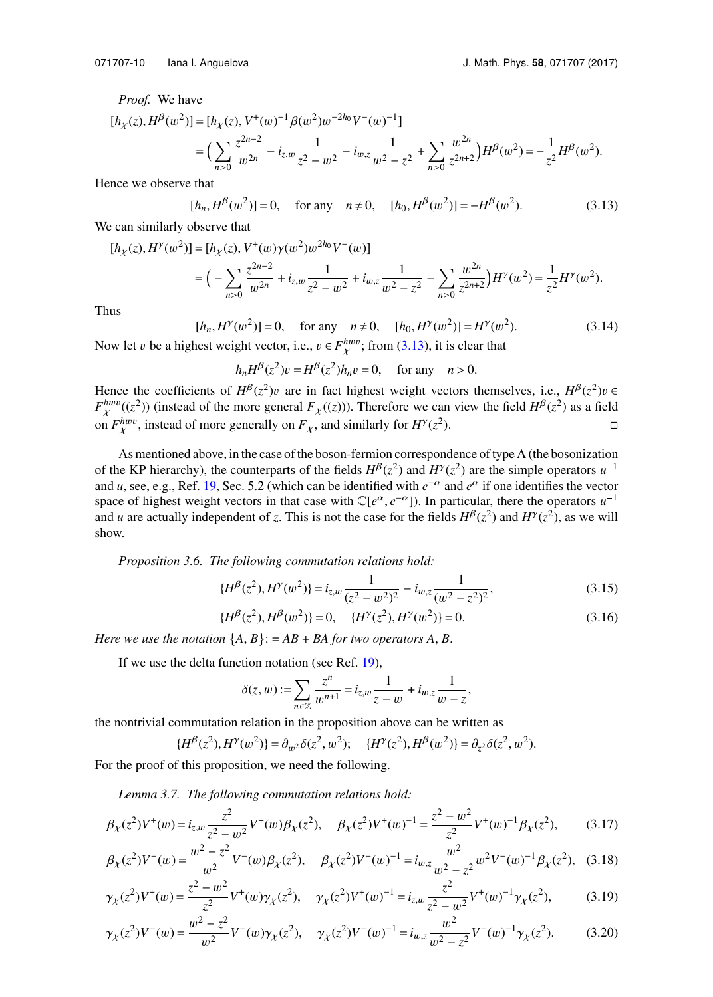*Proof.* We have

$$
\begin{aligned} [h_\chi(z),H^\beta(w^2)] &= [h_\chi(z),V^+(w)^{-1}\beta(w^2)w^{-2h_0}V^-(w)^{-1}] \\ &= \Big(\sum_{n>0}\frac{z^{2n-2}}{w^{2n}} - i_{z,w}\frac{1}{z^2-w^2} - i_{w,z}\frac{1}{w^2-z^2} + \sum_{n>0}\frac{w^{2n}}{z^{2n+2}}\Big)H^\beta(w^2) = -\frac{1}{z^2}H^\beta(w^2). \end{aligned}
$$

Hence we observe that

<span id="page-10-0"></span> $[h_n, H^{\beta}(w^2)] = 0$ , for any  $n \neq 0$ ,  $[h_0, H^{\beta}(w^2)] = -H^{\beta}(w^2)$  $(3.13)$ 

We can similarly observe that

$$
[h_{\chi}(z), H^{\gamma}(w^2)] = [h_{\chi}(z), V^+(w)\gamma(w^2)w^{2h_0}V^-(w)]
$$
  
=  $\Big(-\sum_{n>0} \frac{z^{2n-2}}{w^{2n}} + i_{z,w}\frac{1}{z^2 - w^2} + i_{w,z}\frac{1}{w^2 - z^2} - \sum_{n>0} \frac{w^{2n}}{z^{2n+2}}\Big)H^{\gamma}(w^2) = \frac{1}{z^2}H^{\gamma}(w^2).$ 

Thus

$$
[h_n, H^{\gamma}(w^2)] = 0, \quad \text{for any} \quad n \neq 0, \quad [h_0, H^{\gamma}(w^2)] = H^{\gamma}(w^2). \tag{3.14}
$$
  
best weight vector is a  $v \in F^{h w v}$ , from (3.13), it is clear that

Now let v be a highest weight vector, i.e.,  $v \in F_{\chi}^{h w v}$ ; from [\(3.13\)](#page-10-0), it is clear that

$$
h_n H^{\beta}(z^2)v = H^{\beta}(z^2)h_n v = 0, \quad \text{for any} \quad n > 0.
$$

Hence the coefficients of  $H^{\beta}(z^2)v$  are in fact highest weight vectors themselves, i.e.,  $H^{\beta}(z^2)v \in F^{h w v}((z^2))$  (instead of the more general *F* ((*z*))). Therefore we can view the field  $H^{\beta}(z^2)$  as a field  $F_{\chi}^{hww}((z^2))$  (instead of the more general  $F_{\chi}((z))$ ). Therefore we can view the field  $H^{\beta}(z^2)$  as a field on  $F_{\chi}^{hww}$ , instead of more generally on  $F_{\chi}$ , and similarly for  $H^{\gamma}(z^2)$ χ  $\Box$  $\Box$ 

As mentioned above, in the case of the boson-fermion correspondence of type A (the bosonization of the KP hierarchy), the counterparts of the fields  $H^{\beta}(z^2)$  and  $H^{\gamma}(z^2)$  are the simple operators  $u^{-1}$ and *u*, see, e.g., Ref. [19,](#page-19-0) Sec. 5.2 (which can be identified with  $e^{-\alpha}$  and  $e^{\alpha}$  if one identifies the vector space of highest weight vectors in that case with  $\mathbb{C}[e^{\alpha}, e^{-\alpha}]$ ). In particular, there the operators  $u^{-1}$ and *u* are actually independent of *z*. This is not the case for the fields  $H^{\beta}(z^2)$  and  $H^{\gamma}(z^2)$ , as we will show.

*Proposition 3.6. The following commutation relations hold:*

$$
\{H^{\beta}(z^2), H^{\gamma}(w^2)\} = i_{z,w} \frac{1}{(z^2 - w^2)^2} - i_{w,z} \frac{1}{(w^2 - z^2)^2},
$$
(3.15)

$$
\{H^{\beta}(z^2), H^{\beta}(w^2)\} = 0, \quad \{H^{\gamma}(z^2), H^{\gamma}(w^2)\} = 0.
$$
 (3.16)

*Here we use the notation*  $\{A, B\}$ : =  $AB$  +  $BA$  *for two operators*  $A, B$ .

If we use the delta function notation (see Ref. [19\)](#page-19-0),

$$
\delta(z,w):=\sum_{n\in\mathbb{Z}}\frac{z^n}{w^{n+1}}=i_{z,w}\frac{1}{z-w}+i_{w,z}\frac{1}{w-z},
$$

the nontrivial commutation relation in the proposition above can be written as

$$
\{H^{\beta}(z^2), H^{\gamma}(w^2)\} = \partial_{w^2}\delta(z^2, w^2); \quad \{H^{\gamma}(z^2), H^{\beta}(w^2)\} = \partial_{z^2}\delta(z^2, w^2).
$$

For the proof of this proposition, we need the following.

*Lemma 3.7. The following commutation relations hold:*

$$
\beta_{\chi}(z^2)V^+(w) = i_{z,w}\frac{z^2}{z^2 - w^2}V^+(w)\beta_{\chi}(z^2), \quad \beta_{\chi}(z^2)V^+(w)^{-1} = \frac{z^2 - w^2}{z^2}V^+(w)^{-1}\beta_{\chi}(z^2), \quad (3.17)
$$

$$
\beta_{\chi}(z^2)V^-(w) = \frac{w^2 - z^2}{w^2}V^-(w)\beta_{\chi}(z^2), \quad \beta_{\chi}(z^2)V^-(w)^{-1} = i_{w,z}\frac{w^2}{w^2 - z^2}w^2V^-(w)^{-1}\beta_{\chi}(z^2), \quad (3.18)
$$

$$
\gamma_{\chi}(z^2)V^+(w) = \frac{z^2 - w^2}{z^2}V^+(w)\gamma_{\chi}(z^2), \quad \gamma_{\chi}(z^2)V^+(w)^{-1} = i_{z,w}\frac{z^2}{z^2 - w^2}V^+(w)^{-1}\gamma_{\chi}(z^2),\tag{3.19}
$$

$$
\gamma_{\chi}(z^2)V^-(w) = \frac{w^2 - z^2}{w^2}V^-(w)\gamma_{\chi}(z^2), \quad \gamma_{\chi}(z^2)V^-(w)^{-1} = i_{w,z}\frac{w^2}{w^2 - z^2}V^-(w)^{-1}\gamma_{\chi}(z^2). \tag{3.20}
$$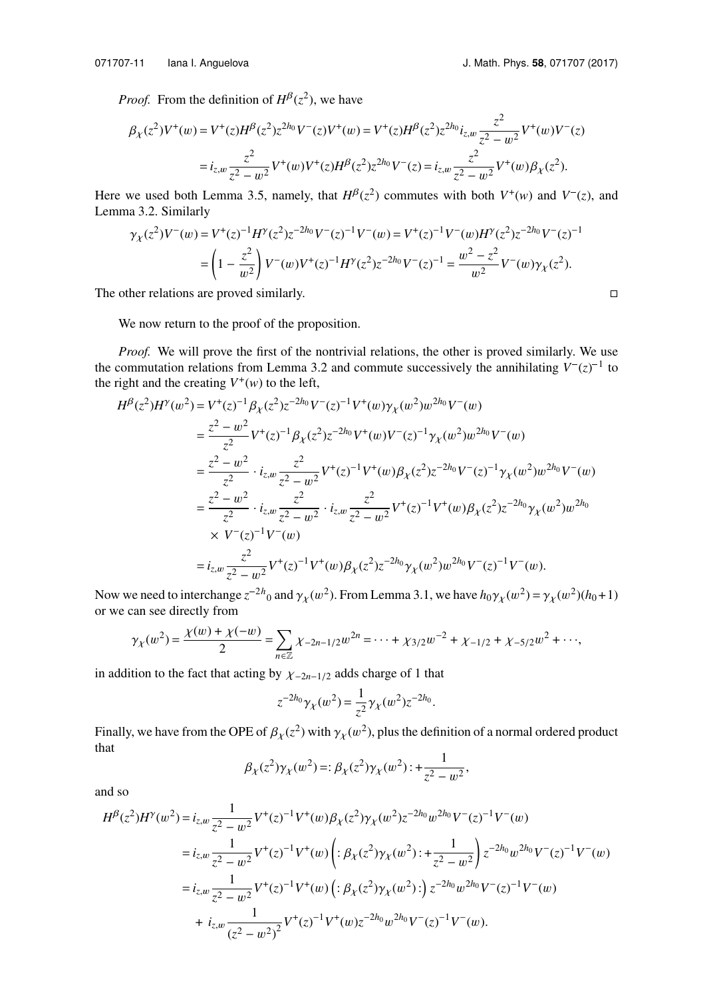*Proof.* From the definition of  $H^{\beta}(z^2)$ , we have

$$
\beta_{\chi}(z^2)V^+(w) = V^+(z)H^{\beta}(z^2)z^{2h_0}V^-(z)V^+(w) = V^+(z)H^{\beta}(z^2)z^{2h_0}i_{z,w}\frac{z^2}{z^2 - w^2}V^+(w)V^-(z)
$$

$$
= i_{z,w}\frac{z^2}{z^2 - w^2}V^+(w)V^+(z)H^{\beta}(z^2)z^{2h_0}V^-(z) = i_{z,w}\frac{z^2}{z^2 - w^2}V^+(w)\beta_{\chi}(z^2).
$$

Here we used both Lemma 3.5, namely, that  $H^{\beta}(z^2)$  commutes with both  $V^+(w)$  and  $V^-(z)$ , and Lemma 3.2. Similarly

$$
\gamma_X(z^2)V^-(w) = V^+(z)^{-1}H^\gamma(z^2)z^{-2h_0}V^-(z)^{-1}V^-(w) = V^+(z)^{-1}V^-(w)H^\gamma(z^2)z^{-2h_0}V^-(z)^{-1}
$$

$$
= \left(1 - \frac{z^2}{w^2}\right)V^-(w)V^+(z)^{-1}H^\gamma(z^2)z^{-2h_0}V^-(z)^{-1} = \frac{w^2 - z^2}{w^2}V^-(w)\gamma_X(z^2).
$$
The other relations are proved similarly.

We now return to the proof of the proposition.

*Proof.* We will prove the first of the nontrivial relations, the other is proved similarly. We use the commutation relations from Lemma 3.2 and commute successively the annihilating  $V^{-}(z)^{-1}$  to the right and the creating  $V^+(w)$  to the left,

$$
H^{\beta}(z^{2})H^{\gamma}(w^{2}) = V^{+}(z)^{-1}\beta_{\chi}(z^{2})z^{-2h_{0}}V^{-}(z)^{-1}V^{+}(w)\gamma_{\chi}(w^{2})w^{2h_{0}}V^{-}(w)
$$
  
\n
$$
= \frac{z^{2}-w^{2}}{z^{2}}V^{+}(z)^{-1}\beta_{\chi}(z^{2})z^{-2h_{0}}V^{+}(w)V^{-}(z)^{-1}\gamma_{\chi}(w^{2})w^{2h_{0}}V^{-}(w)
$$
  
\n
$$
= \frac{z^{2}-w^{2}}{z^{2}} \cdot i_{z,w} \frac{z^{2}}{z^{2}-w^{2}}V^{+}(z)^{-1}V^{+}(w)\beta_{\chi}(z^{2})z^{-2h_{0}}V^{-}(z)^{-1}\gamma_{\chi}(w^{2})w^{2h_{0}}V^{-}(w)
$$
  
\n
$$
= \frac{z^{2}-w^{2}}{z^{2}} \cdot i_{z,w} \frac{z^{2}}{z^{2}-w^{2}} \cdot i_{z,w} \frac{z^{2}}{z^{2}-w^{2}}V^{+}(z)^{-1}V^{+}(w)\beta_{\chi}(z^{2})z^{-2h_{0}}\gamma_{\chi}(w^{2})w^{2h_{0}}
$$
  
\n
$$
\times V^{-}(z)^{-1}V^{-}(w)
$$
  
\n
$$
= i_{z,w} \frac{z^{2}}{z^{2}-w^{2}}V^{+}(z)^{-1}V^{+}(w)\beta_{\chi}(z^{2})z^{-2h_{0}}\gamma_{\chi}(w^{2})w^{2h_{0}}V^{-}(z)^{-1}V^{-}(w).
$$

Now we need to interchange  $z^{-2h}$ <sub>0</sub> and  $\gamma_{\chi}(w^2)$ . From Lemma 3.1, we have  $h_0\gamma_{\chi}(w^2) = \gamma_{\chi}(w^2)(h_0 + 1)$ <br>or we can see directly from or we can see directly from

$$
\gamma_{\chi}(w^2) = \frac{\chi(w) + \chi(-w)}{2} = \sum_{n \in \mathbb{Z}} \chi_{-2n-1/2} w^{2n} = \dots + \chi_{3/2} w^{-2} + \chi_{-1/2} + \chi_{-5/2} w^2 + \dots,
$$

in addition to the fact that acting by <sup>χ</sup>−2*n*−1/<sup>2</sup> adds charge of 1 that

$$
z^{-2h_0}\gamma_{\chi}(w^2) = \frac{1}{z^2}\gamma_{\chi}(w^2)z^{-2h_0}.
$$

Finally, we have from the OPE of  $\beta_{\chi}(z^2)$  with  $\gamma_{\chi}(w^2)$ , plus the definition of a normal ordered product that that

$$
\beta_{\chi}(z^2)\gamma_{\chi}(w^2) =: \beta_{\chi}(z^2)\gamma_{\chi}(w^2): + \frac{1}{z^2 - w^2},
$$

and so

$$
H^{\beta}(z^{2})H^{\gamma}(w^{2}) = i_{z,w} \frac{1}{z^{2} - w^{2}} V^{+}(z)^{-1} V^{+}(w) \beta_{\chi}(z^{2}) \gamma_{\chi}(w^{2}) z^{-2h_{0}} w^{2h_{0}} V^{-}(z)^{-1} V^{-}(w)
$$
  
\n
$$
= i_{z,w} \frac{1}{z^{2} - w^{2}} V^{+}(z)^{-1} V^{+}(w) \left( : \beta_{\chi}(z^{2}) \gamma_{\chi}(w^{2}) : + \frac{1}{z^{2} - w^{2}} \right) z^{-2h_{0}} w^{2h_{0}} V^{-}(z)^{-1} V^{-}(w)
$$
  
\n
$$
= i_{z,w} \frac{1}{z^{2} - w^{2}} V^{+}(z)^{-1} V^{+}(w) \left( : \beta_{\chi}(z^{2}) \gamma_{\chi}(w^{2}) : \right) z^{-2h_{0}} w^{2h_{0}} V^{-}(z)^{-1} V^{-}(w)
$$
  
\n
$$
+ i_{z,w} \frac{1}{(z^{2} - w^{2})^{2}} V^{+}(z)^{-1} V^{+}(w) z^{-2h_{0}} w^{2h_{0}} V^{-}(z)^{-1} V^{-}(w).
$$

$$
\qquad \qquad \Box
$$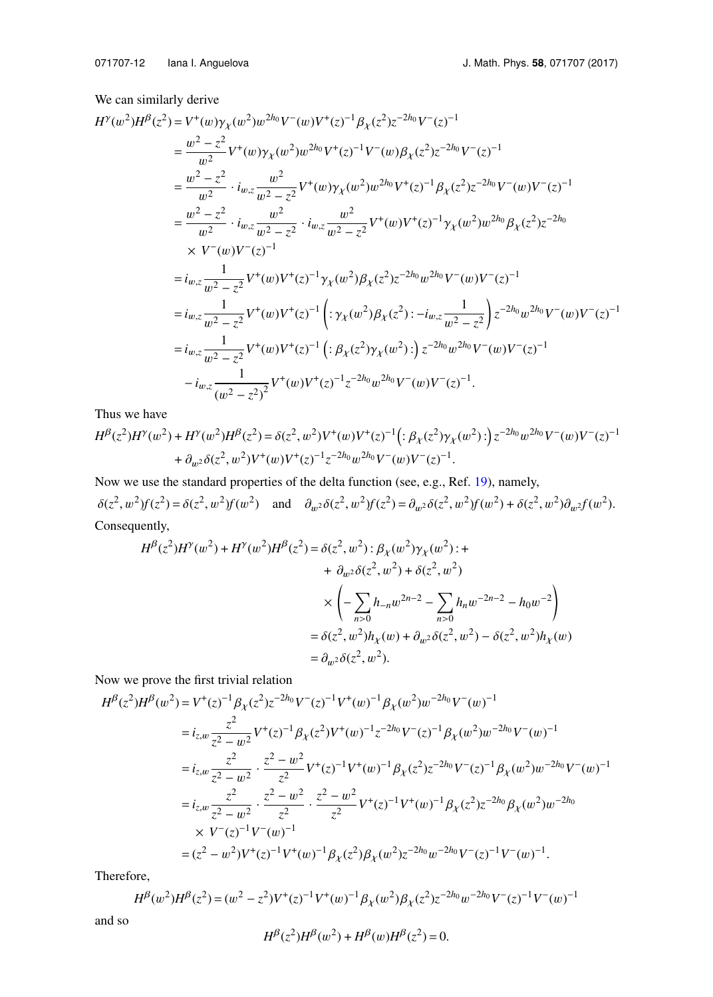We can similarly derive

$$
H^{y}(w^{2})H^{\beta}(z^{2}) = V^{+}(w)\gamma_{\chi}(w^{2})w^{2h_{0}}V^{-}(w)V^{+}(z)^{-1}\beta_{\chi}(z^{2})z^{-2h_{0}}V^{-}(z)^{-1}
$$
\n
$$
= \frac{w^{2}-z^{2}}{w^{2}}V^{+}(w)\gamma_{\chi}(w^{2})w^{2h_{0}}V^{+}(z)^{-1}V^{-}(w)\beta_{\chi}(z^{2})z^{-2h_{0}}V^{-}(z)^{-1}
$$
\n
$$
= \frac{w^{2}-z^{2}}{w^{2}} \cdot i_{w,z}\frac{w^{2}}{w^{2}-z^{2}}V^{+}(w)\gamma_{\chi}(w^{2})w^{2h_{0}}V^{+}(z)^{-1}\beta_{\chi}(z^{2})z^{-2h_{0}}V^{-}(w)V^{-}(z)^{-1}
$$
\n
$$
= \frac{w^{2}-z^{2}}{w^{2}} \cdot i_{w,z}\frac{w^{2}}{w^{2}-z^{2}} \cdot i_{w,z}\frac{w^{2}}{w^{2}-z^{2}}V^{+}(w)V^{+}(z)^{-1}\gamma_{\chi}(w^{2})w^{2h_{0}}\beta_{\chi}(z^{2})z^{-2h_{0}}
$$
\n
$$
\times V^{-}(w)V^{-}(z)^{-1}
$$
\n
$$
= i_{w,z}\frac{1}{w^{2}-z^{2}}V^{+}(w)V^{+}(z)^{-1}\gamma_{\chi}(w^{2})\beta_{\chi}(z^{2})z^{-2h_{0}}w^{2h_{0}}V^{-}(w)V^{-}(z)^{-1}
$$
\n
$$
= i_{w,z}\frac{1}{w^{2}-z^{2}}V^{+}(w)V^{+}(z)^{-1}\left(\frac{\gamma_{\chi}(w^{2})\beta_{\chi}(z^{2})\cdot -i_{w,z}\frac{1}{w^{2}-z^{2}}\right)z^{-2h_{0}}w^{2h_{0}}V^{-}(w)V^{-}(z)^{-1}
$$
\n
$$
= i_{w,z}\frac{1}{w^{2}-z^{2}}V^{+}(w)V^{+}(z)^{-1}\left(\frac{\gamma_{\chi}(z^{2})\gamma_{\chi}(w^{2})\cdot -i_{w,z}\frac{1}{w^{2}-z^{2}}\right)z^{-2h_{0}}W^{-}(w)V^{-}(z)^{-1}
$$
\n
$$
-i_{w,z}\frac{1}{(w^{2}-z^{2})^{2}}V^{+}(w)V^{+}(z)^{-1}
$$

Thus we have

$$
H^{\beta}(z^2)H^{\gamma}(w^2) + H^{\gamma}(w^2)H^{\beta}(z^2) = \delta(z^2, w^2)V^+(w)V^+(z)^{-1} \Big( : \beta_{\chi}(z^2)\gamma_{\chi}(w^2) : \Big) z^{-2h_0}w^{2h_0}V^-(w)V^-(z)^{-1} + \partial_{w^2}\delta(z^2, w^2)V^+(w)V^+(z)^{-1}z^{-2h_0}w^{2h_0}V^-(w)V^-(z)^{-1}.
$$

Now we use the standard properties of the delta function (see, e.g., Ref. [19\)](#page-19-0), namely,  $\delta(z^2, w^2)f(z^2) = \delta(z^2, w^2)f(w^2)$  and  $\partial_{w^2}\delta(z^2, w^2)f(z^2) = \partial_{w^2}\delta(z^2, w^2)f(w^2) + \delta(z^2, w^2)\partial_{w^2}f(w^2)$ . Consequently,

$$
H^{\beta}(z^{2})H^{\gamma}(w^{2}) + H^{\gamma}(w^{2})H^{\beta}(z^{2}) = \delta(z^{2}, w^{2}) : \beta_{\chi}(w^{2})\gamma_{\chi}(w^{2}) : +
$$
  
+  $\partial_{w^{2}}\delta(z^{2}, w^{2}) + \delta(z^{2}, w^{2})$   
 $\times \left(-\sum_{n>0} h_{-n}w^{2n-2} - \sum_{n>0} h_{n}w^{-2n-2} - h_{0}w^{-2}\right)$   
=  $\delta(z^{2}, w^{2})h_{\chi}(w) + \partial_{w^{2}}\delta(z^{2}, w^{2}) - \delta(z^{2}, w^{2})h_{\chi}(w)$   
=  $\partial_{w^{2}}\delta(z^{2}, w^{2}).$ 

Now we prove the first trivial relation

$$
H^{\beta}(z^{2})H^{\beta}(w^{2}) = V^{+}(z)^{-1}\beta_{\chi}(z^{2})z^{-2h_{0}}V^{-}(z)^{-1}V^{+}(w)^{-1}\beta_{\chi}(w^{2})w^{-2h_{0}}V^{-}(w)^{-1}
$$
\n
$$
= i_{z,w}\frac{z^{2}}{z^{2}-w^{2}}V^{+}(z)^{-1}\beta_{\chi}(z^{2})V^{+}(w)^{-1}z^{-2h_{0}}V^{-}(z)^{-1}\beta_{\chi}(w^{2})w^{-2h_{0}}V^{-}(w)^{-1}
$$
\n
$$
= i_{z,w}\frac{z^{2}}{z^{2}-w^{2}}\cdot\frac{z^{2}-w^{2}}{z^{2}}V^{+}(z)^{-1}V^{+}(w)^{-1}\beta_{\chi}(z^{2})z^{-2h_{0}}V^{-}(z)^{-1}\beta_{\chi}(w^{2})w^{-2h_{0}}V^{-}(w)^{-1}
$$
\n
$$
= i_{z,w}\frac{z^{2}}{z^{2}-w^{2}}\cdot\frac{z^{2}-w^{2}}{z^{2}}\cdot\frac{z^{2}-w^{2}}{z^{2}}V^{+}(z)^{-1}V^{+}(w)^{-1}\beta_{\chi}(z^{2})z^{-2h_{0}}\beta_{\chi}(w^{2})w^{-2h_{0}}
$$
\n
$$
\times V^{-}(z)^{-1}V^{-}(w)^{-1}
$$
\n
$$
= (z^{2}-w^{2})V^{+}(z)^{-1}V^{+}(w)^{-1}\beta_{\chi}(z^{2})\beta_{\chi}(w^{2})z^{-2h_{0}}w^{-2h_{0}}V^{-}(z)^{-1}V^{-}(w)^{-1}.
$$

Therefore,

$$
H^{\beta}(w^2)H^{\beta}(z^2) = (w^2 - z^2)V^+(z)^{-1}V^+(w)^{-1}\beta_{\chi}(w^2)\beta_{\chi}(z^2)z^{-2h_0}w^{-2h_0}V^-(z)^{-1}V^-(w)^{-1}
$$

and so

$$
H^{\beta}(z^2)H^{\beta}(w^2) + H^{\beta}(w)H^{\beta}(z^2) = 0.
$$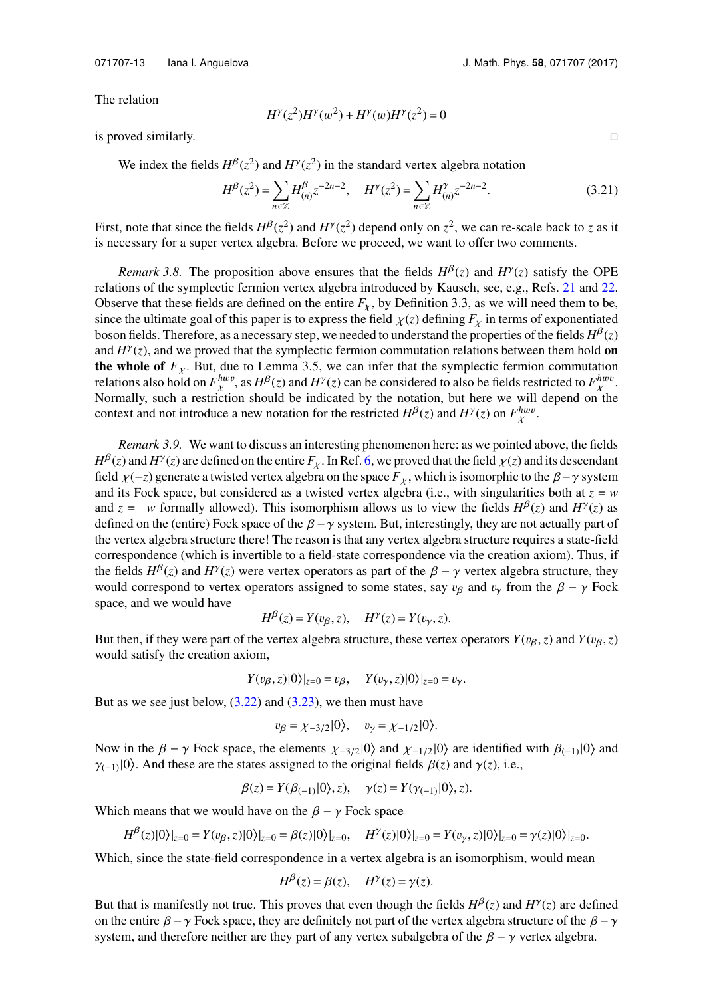The relation

$$
H^{\gamma}(z^2)H^{\gamma}(w^2) + H^{\gamma}(w)H^{\gamma}(z^2) = 0
$$

 $\Box$  is proved similarly.  $\Box$ 

We index the fields  $H^{\beta}(z^2)$  and  $H^{\gamma}(z^2)$  in the standard vertex algebra notation

$$
H^{\beta}(z^2) = \sum_{n \in \mathbb{Z}} H^{\beta}_{(n)} z^{-2n-2}, \quad H^{\gamma}(z^2) = \sum_{n \in \mathbb{Z}} H^{\gamma}_{(n)} z^{-2n-2}.
$$
 (3.21)

First, note that since the fields  $H^{\beta}(z^2)$  and  $H^{\gamma}(z^2)$  depend only on  $z^2$ , we can re-scale back to *z* as it is necessary for a super vertex algebra. Before we proceed, we want to offer two comments.

*Remark 3.8.* The proposition above ensures that the fields  $H^{\beta}(z)$  and  $H^{\gamma}(z)$  satisfy the OPE relations of the symplectic fermion vertex algebra introduced by Kausch, see, e.g., Refs. [21](#page-19-9) and [22.](#page-19-10) Observe that these fields are defined on the entire  $F<sub>X</sub>$ , by Definition 3.3, as we will need them to be, since the ultimate goal of this paper is to express the field  $\chi(z)$  defining  $F_{\chi}$  in terms of exponentiated boson fields. Therefore, as a necessary step, we needed to understand the properties of the fields  $H^{\beta}(z)$ and  $H^{\gamma}(z)$ , and we proved that the symplectic fermion commutation relations between them hold on **the whole of**  $F_\chi$ . But, due to Lemma 3.5, we can infer that the symplectic fermion commutation relations also hold on  $F_{\chi}^{h w v}$ , as  $H^{\beta}(z)$  and  $H^{\gamma}(z)$  can be considered to also be fields restricted to  $F_{\chi}^{h w v}$ . Normally, such a restriction should be indicated by the notation, but here we will depend on the context and not introduce a new notation for the restricted  $H^{\beta}(z)$  and  $H^{\gamma}(z)$  on  $F_{\chi}^{hww}$ .  $\ddot{\phantom{0}}$ 

*Remark 3.9.* We want to discuss an interesting phenomenon here: as we pointed above, the fields  $H^{\beta}(z)$  and  $H^{\gamma}(z)$  are defined on the entire  $F_{\chi}$ . In Ref. [6,](#page-19-8) we proved that the field  $\chi(z)$  and its descendant field  $\chi$ (−*z*) generate a twisted vertex algebra on the space  $F_\chi$ , which is isomorphic to the  $\beta$ − $\gamma$  system and its Fock space, but considered as a twisted vertex algebra (i.e., with singularities both at  $z = w$ and *z* =  $-w$  formally allowed). This isomorphism allows us to view the fields  $H^{\beta}(z)$  and  $H^{\gamma}(z)$  as and  $z = w$ defined on the (entire) Fock space of the  $\beta - \gamma$  system. But, interestingly, they are not actually part of the vertex algebra structure there! The reason is that any vertex algebra structure requires a state-field correspondence (which is invertible to a field-state correspondence via the creation axiom). Thus, if the fields  $H^{\beta}(z)$  and  $H^{\gamma}(z)$  were vertex operators as part of the  $\beta - \gamma$  vertex algebra structure, they would correspond to vertex operators assigned to some states, say  $v_{\alpha}$  and  $v_{\alpha}$  from the  $\beta - \gamma$  Fock would correspond to vertex operators assigned to some states, say  $v_\beta$  and  $v_\gamma$  from the  $\beta - \gamma$  Fock space, and we would have

$$
H^{B}(z) = Y(v_{\beta}, z), \quad H^{\gamma}(z) = Y(v_{\gamma}, z).
$$

But then, if they were part of the vertex algebra structure, these vertex operators  $Y(v_\beta, z)$  and  $Y(v_\beta, z)$ <br>would satisfy the creation axiom would satisfy the creation axiom,

$$
Y(v_{\beta}, z)|0\rangle|_{z=0} = v_{\beta}, \quad Y(v_{\gamma}, z)|0\rangle|_{z=0} = v_{\gamma}.
$$

But as we see just below,  $(3.22)$  and  $(3.23)$ , we then must have

$$
v_{\beta} = \chi_{-3/2} |0\rangle, \quad v_{\gamma} = \chi_{-1/2} |0\rangle.
$$

Now in the  $\beta - \gamma$  Fock space, the elements  $\chi_{-3/2} |0\rangle$  and  $\chi_{-1/2} |0\rangle$  are identified with  $\beta_{(-1)} |0\rangle$  and  $\chi_{(-1)} |0\rangle$  and  $\chi_{(-1)} |0\rangle$  and these are the states assigned to the original fields  $\beta(\tau)$  and  $\chi(\tau)$  $\gamma_{(-1)}|0\rangle$ . And these are the states assigned to the original fields  $\beta(z)$  and  $\gamma(z)$ , i.e.,

$$
\beta(z) = Y(\beta_{(-1)}|0\rangle, z), \quad \gamma(z) = Y(\gamma_{(-1)}|0\rangle, z).
$$

Which means that we would have on the  $\beta - \gamma$  Fock space

$$
H^{\beta}(z)|0\rangle|_{z=0} = Y(v_{\beta}, z)|0\rangle|_{z=0} = \beta(z)|0\rangle|_{z=0}, \quad H^{\gamma}(z)|0\rangle|_{z=0} = Y(v_{\gamma}, z)|0\rangle|_{z=0} = \gamma(z)|0\rangle|_{z=0}.
$$

Which, since the state-field correspondence in a vertex algebra is an isomorphism, would mean

$$
H^{\beta}(z) = \beta(z), \quad H^{\gamma}(z) = \gamma(z).
$$

But that is manifestly not true. This proves that even though the fields  $H^{\beta}(z)$  and  $H^{\gamma}(z)$  are defined on the entire  $\beta - \gamma$  Fock space, they are definitely not part of the vertex algebra structure of the  $\beta - \gamma$ system, and therefore neither are they part of any vertex subalgebra of the  $\beta - \gamma$  vertex algebra.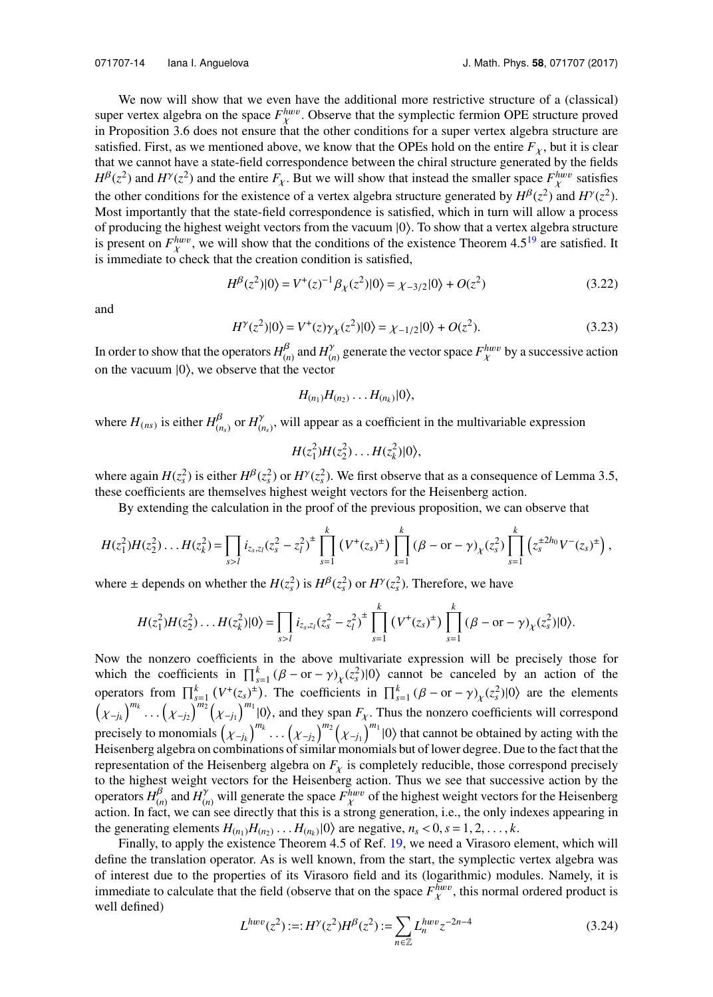We now will show that we even have the additional more restrictive structure of a (classical) super vertex algebra on the space  $F_{\chi}^{hww}$ . Observe that the symplectic fermion OPE structure proved in Proposition 3.6 does not ensure that the other conditions for a super vertex algebra structure are satisfied. First, as we mentioned above, we know that the OPEs hold on the entire  $F_{\chi}$ , but it is clear that we cannot have a state-field correspondence between the chiral structure generated by the fields  $H^{\beta}(z^2)$  and  $H^{\gamma}(z^2)$  and the entire  $F_{\chi}$ . But we will show that instead the smaller space  $F_{\chi}^{h w v}$  satisfies the other conditions for the existence of a vertex algebra structure generated by  $H^{\beta}(z^2)$  and  $H^{\gamma}(z^2)$ . Most importantly that the state-field correspondence is satisfied, which in turn will allow a process of producing the highest weight vectors from the vacuum |0 . To show that a vertex algebra structure is present on  $F_{\chi}^{hww}$ , we will show that the conditions of the existence Theorem 4.5<sup>[19](#page-19-0)</sup> are satisfied. It is immediate to check that the creation condition is satisfied,

$$
H^{\beta}(z^2)|0\rangle = V^+(z)^{-1}\beta_{\chi}(z^2)|0\rangle = \chi_{-3/2}|0\rangle + O(z^2)
$$
\n(3.22)

<span id="page-14-1"></span>and

$$
H^{\gamma}(z^2)|0\rangle = V^+(z)\gamma_{\chi}(z^2)|0\rangle = \chi_{-1/2}|0\rangle + O(z^2). \tag{3.23}
$$

In order to show that the operators  $H_{(n)}^{\beta}$  and  $H_{(n)}^{\gamma}$  generate the vector space  $F_{\chi}^{h w v}$  by a successive action on the vacuum  $|0\rangle$ , we observe that the vector

<span id="page-14-0"></span>
$$
H_{(n_1)}H_{(n_2)}\ldots H_{(n_k)}|0\rangle,
$$

where  $H_{(ns)}$  is either  $H_{(ns)}^{\beta}$  or  $H_{(ns)}^{\gamma}$ , will appear as a coefficient in the multivariable expression

 $H(z_1^2)H(z_2^2)\ldots H(z_k^2)|0\rangle,$ 

where again  $H(z_s^2)$  is either  $H^{\beta}(z_s^2)$  or  $H^{\gamma}(z_s^2)$ . We first observe that as a consequence of Lemma 3.5, these coefficients are themselves highest weight vectors for the Heisenberg action.

By extending the calculation in the proof of the previous proposition, we can observe that

$$
H(z_1^2)H(z_2^2)\ldots H(z_k^2) = \prod_{s>l} i_{z_s,z_l}(z_s^2-z_l^2)^{\pm} \prod_{s=1}^k (V^+(z_s)^{\pm}) \prod_{s=1}^k (\beta - \text{or} - \gamma)_{\chi}(z_s^2) \prod_{s=1}^k \left( z_s^{\pm 2h_0} V^-(z_s)^{\pm} \right),
$$

where  $\pm$  depends on whether the  $H(z_s^2)$  is  $H^{\beta}(z_s^2)$  or  $H^{\gamma}(z_s^2)$ . Therefore, we have

$$
H(z_1^2)H(z_2^2)\ldots H(z_k^2)|0\rangle = \prod_{s>l} i_{z_s,z_l}(z_s^2 - z_l^2)^{\pm} \prod_{s=1}^k (V^+(z_s)^{\pm}) \prod_{s=1}^k (\beta - \text{or} - \gamma)_{\chi}(z_s^2)|0\rangle.
$$

Now the nonzero coefficients in the above multivariate expression will be precisely those for which the coefficients in  $\prod_{s=1}^{k} (B - or - \gamma)_{\chi}(z_s^2)|0\rangle$  cannot be canceled by an action of the operators from  $\prod_{s=1}^{k} (V^+(z_s)^{\pm})$ . The coefficients in  $\prod_{s=1}^{k} (\beta - \text{or} - \gamma)_{\chi}(z_s^2)|0\rangle$  are the elements <sup>χ</sup>−*j<sup>k</sup>*  $\big)^{m_k} \cdots \big(\chi_{-j_2}$  $\int_{0}^{\overline{m_2}} (x_{-j_1})$  $\int_{m_1}^{m_1} |0\rangle$ , and they span  $F_\chi$ . Thus the nonzero coefficients will correspond precisely to monomials <sup>χ</sup>−*j<sup>k</sup>*  $\int_{0}^{m_k} \dots \left( \chi_{-j_2} \right)$ <br>nations of sin  $\int_{1}^{m_2} \left( \chi_{-j_1} \right)$  $\int_{0}^{m_1}$  |0 $\int$  that cannot be obtained by acting with the Heisenberg algebra on combinations of similar monomials but of lower degree. Due to the fact that the representation of the Heisenberg algebra on  $F<sub>\chi</sub>$  is completely reducible, those correspond precisely to the highest weight vectors for the Heisenberg action. Thus we see that successive action by the operators  $H_{(n)}^{\beta}$  and  $H_{(n)}^{\gamma}$  will generate the space  $F_{\chi}^{hww}$  of the highest weight vectors for the Heisenberg<br>action. In fact, we can see directly that this is a strong generation, i.e., the only indexes appe action. In fact, we can see directly that this is a strong generation, i.e., the only indexes appearing in the generating elements  $H_{(n_1)}H_{(n_2)}\ldots H_{(n_k)}|0\rangle$  are negative,  $n_s < 0$ ,  $s = 1, 2, \ldots, k$ .<br>Finally to apply the existence Theorem 4.5 of Ref. 19, we need a Virasoro e

Finally, to apply the existence Theorem 4.5 of Ref. [19,](#page-19-0) we need a Virasoro element, which will define the translation operator. As is well known, from the start, the symplectic vertex algebra was of interest due to the properties of its Virasoro field and its (logarithmic) modules. Namely, it is immediate to calculate that the field (observe that on the space  $F_{\chi}^{hww}$ , this normal ordered product is well defined) well defined)

$$
L^{h w v}(z^2) := H^{\gamma}(z^2) H^{\beta}(z^2) := \sum_{n \in \mathbb{Z}} L_n^{h w v} z^{-2n-4}
$$
 (3.24)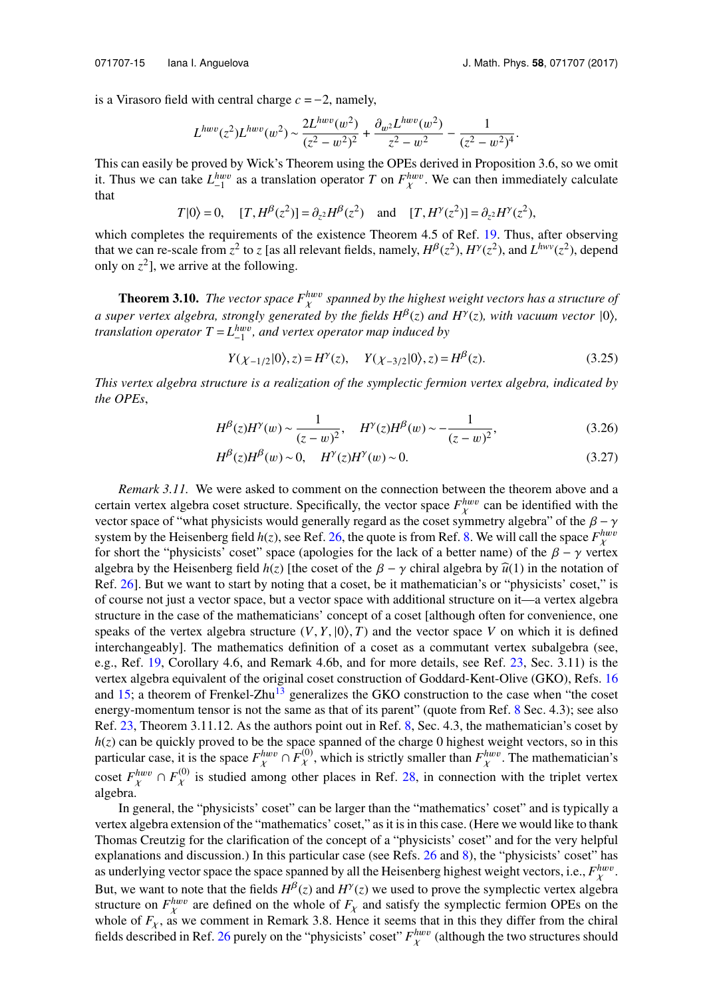is a Virasoro field with central charge  $c = -2$ , namely,

$$
L^{h w v}(z^2) L^{h w v}(w^2) \sim \frac{2L^{h w v}(w^2)}{(z^2 - w^2)^2} + \frac{\partial_{w^2} L^{h w v}(w^2)}{z^2 - w^2} - \frac{1}{(z^2 - w^2)^4}.
$$

This can easily be proved by Wick's Theorem using the OPEs derived in Proposition 3.6, so we omit it. Thus we can take  $L_{-1}^{hww}$  as a translation operator *T* on  $F_{\chi}^{hww}$ . We can then immediately calculate χ that

$$
T|0\rangle = 0
$$
,  $[T, H^{\beta}(z^2)] = \partial_{z^2} H^{\beta}(z^2)$  and  $[T, H^{\gamma}(z^2)] = \partial_{z^2} H^{\gamma}(z^2)$ ,

which completes the requirements of the existence Theorem 4.5 of Ref. [19.](#page-19-0) Thus, after observing that we can re-scale from  $z^2$  to *z* [as all relevant fields, namely,  $H^{\beta}(z^2)$ ,  $H^{\gamma}(z^2)$ , and  $L^{h\nu\nu}(z^2)$ , depend only on  $z^2$ ], we arrive at the following.

**Theorem 3.10.** The vector space  $F_X^{huv}$  spanned by the highest weight vectors has a structure of *a* super vertex algebra, strongly generated by the fields  $H^{\beta}(z)$  and  $H^{\gamma}(z)$ , with vacuum vector  $|0\rangle$ , *translation operator*  $T = L_{-1}^{h w v}$ , and vertex operator map induced by

$$
Y(\chi_{-1/2}|0\rangle, z) = H^{\gamma}(z), \quad Y(\chi_{-3/2}|0\rangle, z) = H^{\beta}(z).
$$
 (3.25)

*This vertex algebra structure is a realization of the symplectic fermion vertex algebra, indicated by the OPEs*,

$$
H^{\beta}(z)H^{\gamma}(w) \sim \frac{1}{(z-w)^2}, \quad H^{\gamma}(z)H^{\beta}(w) \sim -\frac{1}{(z-w)^2},
$$
(3.26)

$$
H^{\beta}(z)H^{\beta}(w) \sim 0, \quad H^{\gamma}(z)H^{\gamma}(w) \sim 0.
$$
 (3.27)

*Remark 3.11.* We were asked to comment on the connection between the theorem above and a certain vertex algebra coset structure. Specifically, the vector space  $F_{\chi}^{hww}$  can be identified with the vector space of "what physicists would generally regard as the coset symmetry algebra" of the  $\beta - \gamma$ <br>system by the Heisenberg field  $h(z)$  see Ref. 26, the quote is from Ref. 8. We will call the space *Finny* system by the Heisenberg field  $h(z)$ , see Ref. [26,](#page-20-5) the quote is from Ref. [8.](#page-19-18) We will call the space  $F_{\chi}^{hww}$ for short the "physicists' coset" space (apologies for the lack of a better name) of the  $\beta - \gamma$  vertex<br>algebra by the Heisenberg field  $h(z)$  life coset of the  $\beta - \gamma$  chiral algebra by  $\hat{u}(1)$  in the notation of algebra by the Heisenberg field  $h(z)$  [the coset of the  $\beta - \gamma$  chiral algebra by  $\hat{u}(1)$  in the notation of Ref. [26\]](#page-20-5). But we want to start by noting that a coset, be it mathematician's or "physicists' coset," is of course not just a vector space, but a vector space with additional structure on it—a vertex algebra structure in the case of the mathematicians' concept of a coset [although often for convenience, one speaks of the vertex algebra structure  $(V, Y, \vert 0 \rangle, T)$  and the vector space V on which it is defined interchangeably]. The mathematics definition of a coset as a commutant vertex subalgebra (see, e.g., Ref. [19,](#page-19-0) Corollary 4.6, and Remark 4.6b, and for more details, see Ref. [23,](#page-19-19) Sec. 3.11) is the vertex algebra equivalent of the original coset construction of Goddard-Kent-Olive (GKO), Refs. [16](#page-19-20) and  $15$ ; a theorem of Frenkel-Zhu<sup>[13](#page-19-22)</sup> generalizes the GKO construction to the case when "the coset energy-momentum tensor is not the same as that of its parent" (quote from Ref. [8](#page-19-18) Sec. 4.3); see also Ref. [23,](#page-19-19) Theorem 3.11.12. As the authors point out in Ref. [8,](#page-19-18) Sec. 4.3, the mathematician's coset by *h*(*z*) can be quickly proved to be the space spanned of the charge 0 highest weight vectors, so in this particular case, it is the space  $F_{\chi}^{h w v} \cap F_{\chi}^{(0)}$ , which is strictly smaller than  $F_{\chi}^{h w v}$ . The mathematician's coset  $F_{\chi}^{hww} \cap F_{\chi}^{(0)}$  is studied among other places in Ref. [28,](#page-20-2) in connection with the triplet vertex algebra. algebra.

In general, the "physicists' coset" can be larger than the "mathematics' coset" and is typically a vertex algebra extension of the "mathematics' coset," as it is in this case. (Here we would like to thank Thomas Creutzig for the clarification of the concept of a "physicists' coset" and for the very helpful explanations and discussion.) In this particular case (see Refs. [26](#page-20-5) and [8\)](#page-19-18), the "physicists' coset" has as underlying vector space the space spanned by all the Heisenberg highest weight vectors, i.e.,  $F_{\chi}^{h w v}$ . But, we want to note that the fields  $H^{\beta}(z)$  and  $H^{\gamma}(z)$  we used to prove the symplectic vertex algebra structure on  $F_{\lambda}^{h w v}$  are defined on the whole of  $F_{\lambda}$  and satisfy the symplectic fermion OPEs on the whole of  $F_{\lambda}$  are commont in Bomerk 3.8. Hones it seems that in this they differ from the object whole of  $F_{\chi}$ , as we comment in Remark 3.8. Hence it seems that in this they differ from the chiral fields described in Bof. 26 purely on the "physicists" good". Fhwv (elthough the two structures should fields described in Ref. [26](#page-20-5) purely on the "physicists' coset"  $F_{\chi}^{h w v}$  (although the two structures should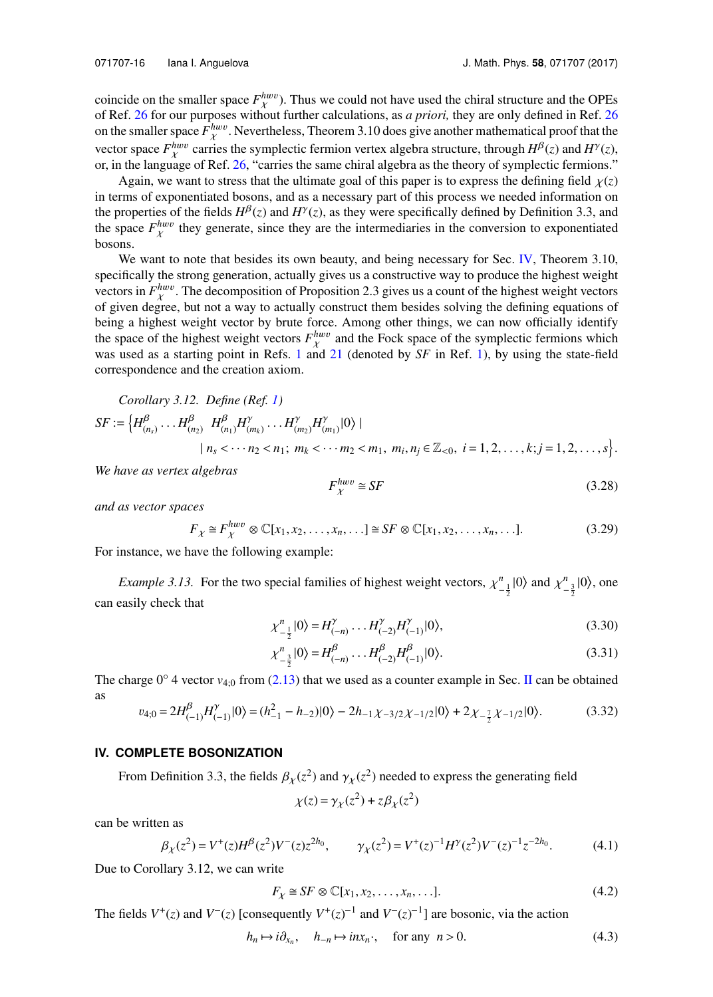coincide on the smaller space  $F_{\chi}^{h w v}$ ). Thus we could not have used the chiral structure and the OPEs of Ref. [26](#page-20-5) for our purposes without further calculations, as *a priori*, they are only defined in Ref. 26 on the smaller space  $F_{\chi}^{h w v}$ . Nevertheless, Theorem 3.10 does give another mathematical proof that the vector space  $F_X^{hww}$  carries the symplectic fermion vertex algebra structure, through  $H^{\beta}(z)$  and  $H^{\gamma}(z)$ , or, in the language of Ref. [26,](#page-20-5) "carries the same chiral algebra as the theory of symplectic fermions."

Again, we want to stress that the ultimate goal of this paper is to express the defining field  $\chi(z)$ in terms of exponentiated bosons, and as a necessary part of this process we needed information on the properties of the fields  $H^{\beta}(z)$  and  $H^{\gamma}(z)$ , as they were specifically defined by Definition 3.3, and the space  $F_{\chi}^{h w v}$  they generate, since they are the intermediaries in the conversion to exponentiated  $\ddot{\phantom{0}}$ bosons.

We want to note that besides its own beauty, and being necessary for Sec. [IV,](#page-16-0) Theorem 3.10, specifically the strong generation, actually gives us a constructive way to produce the highest weight vectors in  $F_{\chi}^{h w v}$ . The decomposition of Proposition 2.3 gives us a count of the highest weight vectors of given degree, but not a way to actually construct them besides solving the defining equations of being a highest weight vector by brute force. Among other things, we can now officially identify the space of the highest weight vectors  $F_{\chi}^{h w v}$  and the Fock space of the symplectic fermions which was used as a starting point in Refs. [1](#page-19-11) and [21](#page-19-9) (denoted by SF in Ref. [1\)](#page-19-11), by using the state-field correspondence and the creation axiom.

Corollary 3.12. Define (Ref. 1)  
\n
$$
SF := \left\{ H^{\beta}_{(n_3)} \dots H^{\beta}_{(n_2)} \ H^{\beta}_{(n_1)} H^{\gamma}_{(m_k)} \dots H^{\gamma}_{(m_2)} H^{\gamma}_{(m_1)} | 0 \rangle \ \vert
$$
\n
$$
| n_s < \dotsb n_2 < n_1; \ m_k < \dotsb m_2 < m_1, \ m_i, n_j \in \mathbb{Z}_{< 0}, \ i = 1, 2, \dots, k; j = 1, 2, \dots, s \right\}.
$$

*We have as vertex algebras*

$$
F_{\chi}^{hww} \cong SF \tag{3.28}
$$

*and as vector spaces*

$$
F_{\chi} \cong F_{\chi}^{h w v} \otimes \mathbb{C}[x_1, x_2, \dots, x_n, \dots] \cong SF \otimes \mathbb{C}[x_1, x_2, \dots, x_n, \dots].
$$
 (3.29)

For instance, we have the following example:

*Example 3.13.* For the two special families of highest weight vectors,  $\chi^n$ <sub>1</sub>  $\int_{-\frac{1}{2}}^n |0\rangle$  and  $\chi^n$  $\frac{n}{2}$ |0 $\rangle$ , one can easily check that

$$
\chi_{-\frac{1}{2}}^n|0\rangle = H_{(-n)}^\gamma \dots H_{(-2)}^\gamma H_{(-1)}^\gamma|0\rangle,\tag{3.30}
$$

$$
\chi_{-\frac{3}{2}}^{n}|0\rangle = H_{(-n)}^{\beta} \dots H_{(-2)}^{\beta} H_{(-1)}^{\beta}|0\rangle.
$$
 (3.31)

The charge  $0^\circ$  4 vector  $v_{4:0}$  from [\(2.13\)](#page-5-0) that we used as a counter example in Sec. [II](#page-3-0) can be obtained as

$$
v_{4;0} = 2H_{(-1)}^{\beta}H_{(-1)}^{\gamma}|0\rangle = (h_{-1}^{2} - h_{-2})|0\rangle - 2h_{-1}\chi_{-3/2}\chi_{-1/2}|0\rangle + 2\chi_{-\frac{7}{2}}\chi_{-1/2}|0\rangle.
$$
 (3.32)

#### <span id="page-16-0"></span>**IV. COMPLETE BOSONIZATION**

From Definition 3.3, the fields  $\beta_{\chi}(z^2)$  and  $\gamma_{\chi}(z^2)$  needed to express the generating field

<span id="page-16-1"></span>
$$
\chi(z) = \gamma_{\chi}(z^2) + z\beta_{\chi}(z^2)
$$

can be written as

$$
\beta_{\chi}(z^2) = V^+(z)H^{\beta}(z^2)V^-(z)z^{2h_0}, \qquad \gamma_{\chi}(z^2) = V^+(z)^{-1}H^{\gamma}(z^2)V^-(z)^{-1}z^{-2h_0}.
$$
 (4.1)

Due to Corollary 3.12, we can write 

$$
F_{\chi} \cong SF \otimes \mathbb{C}[x_1, x_2, \dots, x_n, \dots]. \tag{4.2}
$$

The fields  $V^+(z)$  and  $V^-(z)$  [consequently  $V^+(z)^{-1}$  and  $V^-(z)^{-1}$ ] are bosonic, via the action

$$
h_n \mapsto i\partial_{x_n}, \quad h_{-n} \mapsto inx_n, \quad \text{for any } n > 0. \tag{4.3}
$$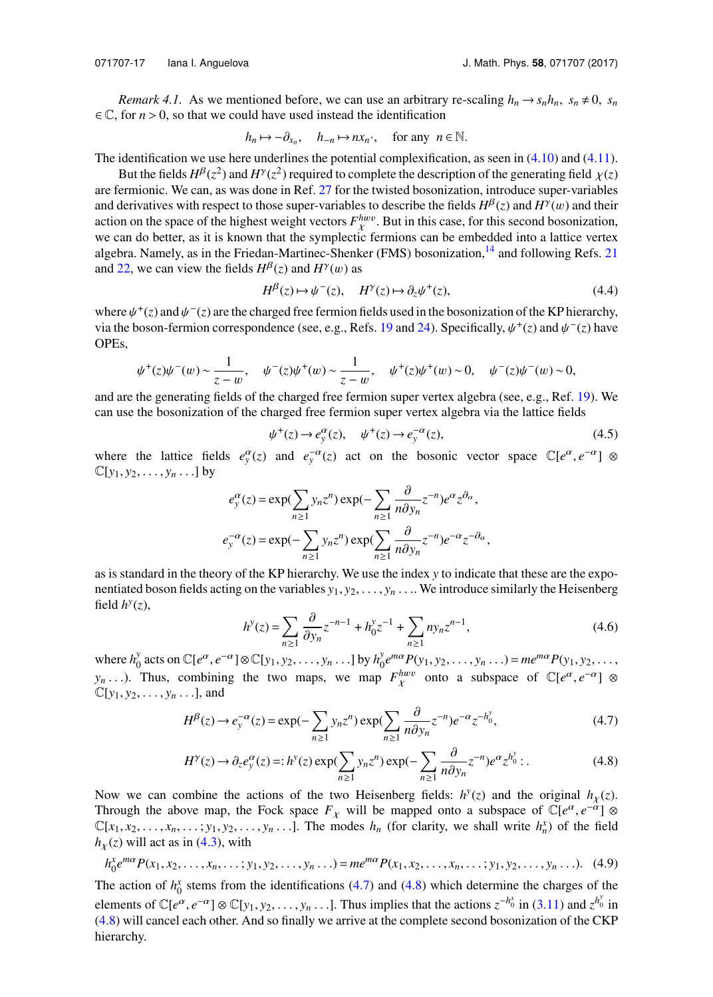*Remark 4.1.* As we mentioned before, we can use an arbitrary re-scaling  $h_n \to s_n h_n$ ,  $s_n \neq 0$ ,  $s_n$  $\in \mathbb{C}$ , for  $n > 0$ , so that we could have used instead the identification

$$
h_n \mapsto -\partial_{x_n}, \quad h_{-n} \mapsto nx_n, \quad \text{for any } n \in \mathbb{N}.
$$

The identification we use here underlines the potential complexification, as seen in  $(4.10)$  and  $(4.11)$ .

But the fields  $H^{\beta}(z^2)$  and  $H^{\gamma}(z^2)$  required to complete the description of the generating field  $\chi(z)$ <br>ermionic. We can as was done in Ref. 27 for the twisted bosonization, introduce super-variables are fermionic. We can, as was done in Ref. [27](#page-20-1) for the twisted bosonization, introduce super-variables and derivatives with respect to those super-variables to describe the fields  $H^{\beta}(z)$  and  $H^{\gamma}(w)$  and their action on the space of the bighest weight vectors  $F^{h w v}$ . But in this case, for this second bosonization action on the space of the highest weight vectors  $F_{\chi}^{h w v}$ . But in this case, for this second bosonization, we can do better, as it is known that the symplectic fermions can be embedded into a lattice vertex algebra. Namely, as in the Friedan-Martinec-Shenker (FMS) bosonization,<sup>[14](#page-19-13)</sup> and following Refs. [21](#page-19-9) and [22,](#page-19-10) we can view the fields  $H^{\beta}(z)$  and  $H^{\gamma}(w)$  as

$$
H^{\beta}(z) \mapsto \psi^{-}(z), \quad H^{\gamma}(z) \mapsto \partial_{z} \psi^{+}(z), \tag{4.4}
$$

where  $\psi^+(z)$  and  $\psi^-(z)$  are the charged free fermion fields used in the bosonization of the KP hierarchy,<br>via the boson-fermion correspondence (see e.g., Refs. 19 and 24). Specifically,  $\psi^+(z)$  and  $\psi^-(z)$  have via the boson-fermion correspondence (see, e.g., Refs. [19](#page-19-0) and [24\)](#page-19-2). Specifically,  $\psi^+(z)$  and  $\psi^-(z)$  have OPEs,

$$
\psi^+(z)\psi^-(w) \sim \frac{1}{z-w}, \quad \psi^-(z)\psi^+(w) \sim \frac{1}{z-w}, \quad \psi^+(z)\psi^+(w) \sim 0, \quad \psi^-(z)\psi^-(w) \sim 0,
$$
  
and are the generating fields of the charged free fermion super vertex algebra (see, e.g., Ref. 19). We

can use the bosonization of the charged free fermion super vertex algebra via the lattice fields

$$
\psi^+(z) \to e_y^{\alpha}(z), \quad \psi^+(z) \to e_y^{-\alpha}(z), \tag{4.5}
$$

where the lattice fields  $e_y^{\alpha}(z)$  and  $e_y^{-\alpha}(z)$  act on the bosonic vector space  $\mathbb{C}[e^{\alpha}, e^{-\alpha}] \otimes$  $\mathbb{C}[y_1, y_2, \ldots, y_n \ldots]$  by

$$
e_y^{\alpha}(z) = \exp(\sum_{n\geq 1} y_n z^n) \exp(-\sum_{n\geq 1} \frac{\partial}{n \partial y_n} z^{-n}) e^{\alpha} z^{\partial \alpha},
$$
  

$$
e_y^{-\alpha}(z) = \exp(-\sum_{n\geq 1} y_n z^n) \exp(\sum_{n\geq 1} \frac{\partial}{n \partial y_n} z^{-n}) e^{-\alpha} z^{-\partial \alpha},
$$

as is standard in the theory of the KP hierarchy. We use the index *y* to indicate that these are the exponentiated boson fields acting on the variables  $y_1, y_2, \ldots, y_n \ldots$  We introduce similarly the Heisenberg field  $h^y(z)$ ,

<span id="page-17-1"></span><span id="page-17-0"></span>
$$
h^{y}(z) = \sum_{n\geq 1} \frac{\partial}{\partial y_n} z^{-n-1} + h_0^{y} z^{-1} + \sum_{n\geq 1} n y_n z^{n-1},
$$
\n(4.6)

where  $h_0^y$  $\sum_{0}^{y}$  acts on  $\mathbb{C}[e^{a}, e^{-a}] \otimes \mathbb{C}[y_1, y_2, \dots, y_n \dots]$  by  $h_0^y$ <br>Thus, combining the two money we men  $\int_{0}^{y} e^{m\alpha} P(y_1, y_2, \dots, y_n \dots) = m e^{m\alpha} P(y_1, y_2, \dots, y_n)$  $y_n$ ...). Thus, combining the two maps, we map  $F_{\chi}^{h w v}$  onto a subspace of  $\mathbb{C}[e^{\alpha}, e^{-\alpha}] \otimes \mathbb{C}[v_1, v_2, \ldots, v_{n-1}]$  and  $\mathbb{C}[y_1, y_2, \ldots, y_n \ldots]$ , and

$$
H^{\beta}(z) \to e_y^{-\alpha}(z) = \exp(-\sum_{n\geq 1} y_n z^n) \exp(\sum_{n\geq 1} \frac{\partial}{n \partial y_n} z^{-n}) e^{-\alpha} z^{-h_0^y},
$$
(4.7)

$$
H^{\gamma}(z) \to \partial_{z} e^{\alpha}_{y}(z) =: h^{y}(z) \exp(\sum_{n \ge 1} y_{n} z^{n}) \exp(-\sum_{n \ge 1} \frac{\partial}{n \partial y_{n}} z^{-n}) e^{\alpha} z^{h_{0}^{y}}.
$$
 (4.8)

Now we can combine the actions of the two Heisenberg fields:  $h^y(z)$  and the original  $h_\chi(z)$ .<br>Through the obove map the Fook gnase  $F$ , will be mapped onto a subgrass of  $C_1e^{\alpha}$ ,  $e^{-\alpha}1$ ,  $\infty$ Through the above map, the Fock space  $F_\chi$  will be mapped onto a subspace of  $\mathbb{C}[e^\alpha, e^{-\alpha}] \otimes$  $\mathbb{C}[x_1, x_2, \dots, x_n, \dots; y_1, y_2, \dots, y_n \dots]$ . The modes  $h_n$  (for clarity, we shall write  $h_n^x$ ) of the field  $h(x)$  will act as in (4.3) with  $h<sub>X</sub>(z)$  will act as in [\(4.3\)](#page-16-1), with

$$
h_0^x e^{m\alpha} P(x_1, x_2, \dots, x_n, \dots; y_1, y_2, \dots, y_n \dots) = m e^{m\alpha} P(x_1, x_2, \dots, x_n, \dots; y_1, y_2, \dots, y_n \dots).
$$
 (4.9)

The action of  $h_0^x$  stems from the identifications [\(4.7\)](#page-17-0) and [\(4.8\)](#page-17-1) which determine the charges of the elements of  $\mathbb{C}[e^{\alpha}, e^{-\alpha}] \otimes \mathbb{C}[y_1, y_2, \dots, y_n \dots]$ . Thus implies that the actions  $z^{-h_0^x}$  in [\(3.11\)](#page-9-0) and  $z^{h_0^y}$  in (4.8) will cancel each other. And so finally we arrive at the complete second bosonization of t [\(4.8\)](#page-17-1) will cancel each other. And so finally we arrive at the complete second bosonization of the CKP hierarchy.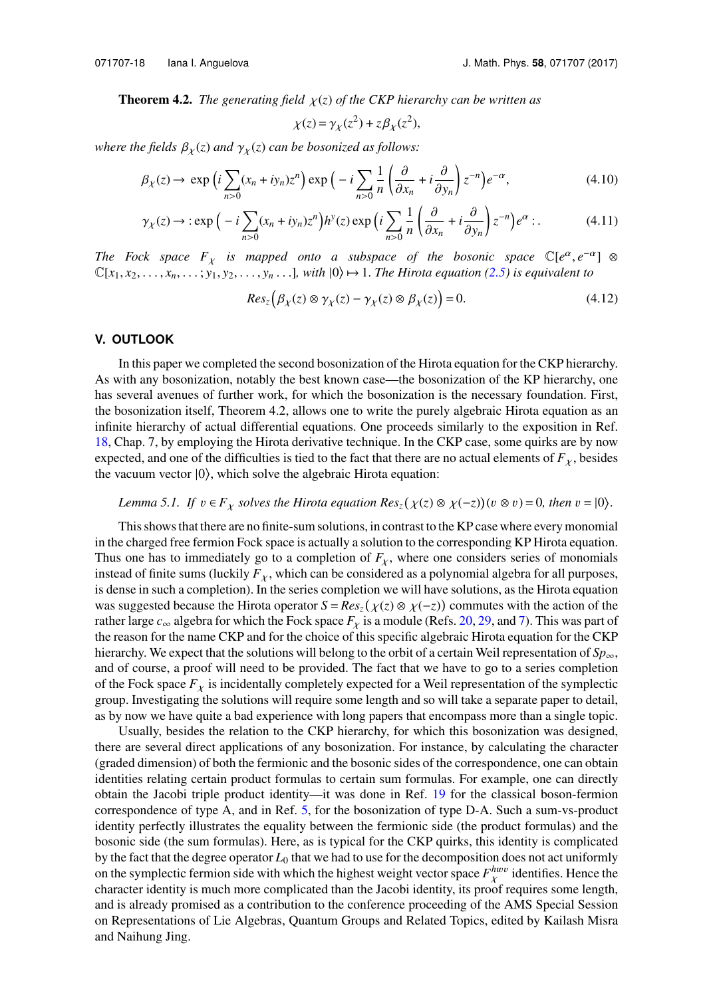**Theorem 4.2.** *The generating field*  $\chi(z)$  *of the CKP hierarchy can be written as* 

<span id="page-18-1"></span><span id="page-18-0"></span>
$$
\chi(z) = \gamma_{\chi}(z^2) + z\beta_{\chi}(z^2),
$$

*where the fields*  $\beta_X(z)$  *and*  $\gamma_X(z)$  *can be bosonized as follows:* 

$$
\beta_{\chi}(z) \to \exp\left(i \sum_{n>0} (x_n + iy_n) z^n\right) \exp\left(-i \sum_{n>0} \frac{1}{n} \left(\frac{\partial}{\partial x_n} + i \frac{\partial}{\partial y_n}\right) z^{-n}\right) e^{-\alpha},\tag{4.10}
$$

$$
\gamma_X(z) \to \exp\left(-i\sum_{n>0} (x_n + iy_n)z^n\right) h^y(z) \exp\left(i\sum_{n>0} \frac{1}{n} \left(\frac{\partial}{\partial x_n} + i\frac{\partial}{\partial y_n}\right) z^{-n}\right) e^{\alpha} \, . \tag{4.11}
$$

*The Fock space*  $F_\chi$  *is mapped onto a subspace of the bosonic space*  $\mathbb{C}[e^{\alpha}, e^{-\alpha}] \otimes \mathbb{C}[e^{\alpha}, e^{-\alpha}]$  $\mathbb{C}[x_1, x_2, \ldots, x_n, \ldots; y_1, y_2, \ldots, y_n, \ldots]$ *, with*  $|0\rangle \mapsto 1$ *. The Hirota equation [\(2.5\)](#page-3-1) is equivalent to* 

$$
Res_z(\beta_X(z) \otimes \gamma_X(z) - \gamma_X(z) \otimes \beta_X(z)) = 0.
$$
\n(4.12)

#### **V. OUTLOOK**

In this paper we completed the second bosonization of the Hirota equation for the CKP hierarchy. As with any bosonization, notably the best known case—the bosonization of the KP hierarchy, one has several avenues of further work, for which the bosonization is the necessary foundation. First, the bosonization itself, Theorem 4.2, allows one to write the purely algebraic Hirota equation as an infinite hierarchy of actual differential equations. One proceeds similarly to the exposition in Ref. [18,](#page-19-1) Chap. 7, by employing the Hirota derivative technique. In the CKP case, some quirks are by now expected, and one of the difficulties is tied to the fact that there are no actual elements of  $F<sub>x</sub>$ , besides the vacuum vector |0 , which solve the algebraic Hirota equation:

*Lemma 5.1. If*  $v \in F_\chi$  *solves the Hirota equation Res<sub><i>z*</sub>( $\chi(z) \otimes \chi(-z)$ )( $v \otimes v$ ) = 0*, then*  $v = |0\rangle$ *.* 

This shows that there are no finite-sum solutions, in contrast to the KP case where every monomial in the charged free fermion Fock space is actually a solution to the corresponding KP Hirota equation. Thus one has to immediately go to a completion of  $F<sub>\chi</sub>$ , where one considers series of monomials instead of finite sums (luckily *<sup>F</sup>*χ, which can be considered as a polynomial algebra for all purposes, is dense in such a completion). In the series completion we will have solutions, as the Hirota equation was suggested because the Hirota operator  $S = Res_z(\chi(z) \otimes \chi(-z))$  commutes with the action of the rather large c algebra for which the Fock space *F* is a module (Refs. 20, 29, and 7). This was part of rather large  $c_{\infty}$  algebra for which the Fock space  $F_{\chi}$  is a module (Refs. [20,](#page-19-16) [29,](#page-20-3) and [7\)](#page-19-15). This was part of the reason for the name CKP and for the choice of this specific algebraic Hirota equation for the CKP hierarchy. We expect that the solutions will belong to the orbit of a certain Weil representation of *Sp*∞, and of course, a proof will need to be provided. The fact that we have to go to a series completion of the Fock space  $F<sub>x</sub>$  is incidentally completely expected for a Weil representation of the symplectic group. Investigating the solutions will require some length and so will take a separate paper to detail, as by now we have quite a bad experience with long papers that encompass more than a single topic.

Usually, besides the relation to the CKP hierarchy, for which this bosonization was designed, there are several direct applications of any bosonization. For instance, by calculating the character (graded dimension) of both the fermionic and the bosonic sides of the correspondence, one can obtain identities relating certain product formulas to certain sum formulas. For example, one can directly obtain the Jacobi triple product identity—it was done in Ref. [19](#page-19-0) for the classical boson-fermion correspondence of type A, and in Ref. [5,](#page-19-23) for the bosonization of type D-A. Such a sum-vs-product identity perfectly illustrates the equality between the fermionic side (the product formulas) and the bosonic side (the sum formulas). Here, as is typical for the CKP quirks, this identity is complicated by the fact that the degree operator  $L_0$  that we had to use for the decomposition does not act uniformly on the symplectic fermion side with which the highest weight vector space  $F_{\chi}^{h w v}$  identifies. Hence the character identity is much more complicated than the Jacobi identity, its proof requires some length, and is already promised as a contribution to the conference proceeding of the AMS Special Session on Representations of Lie Algebras, Quantum Groups and Related Topics, edited by Kailash Misra and Naihung Jing.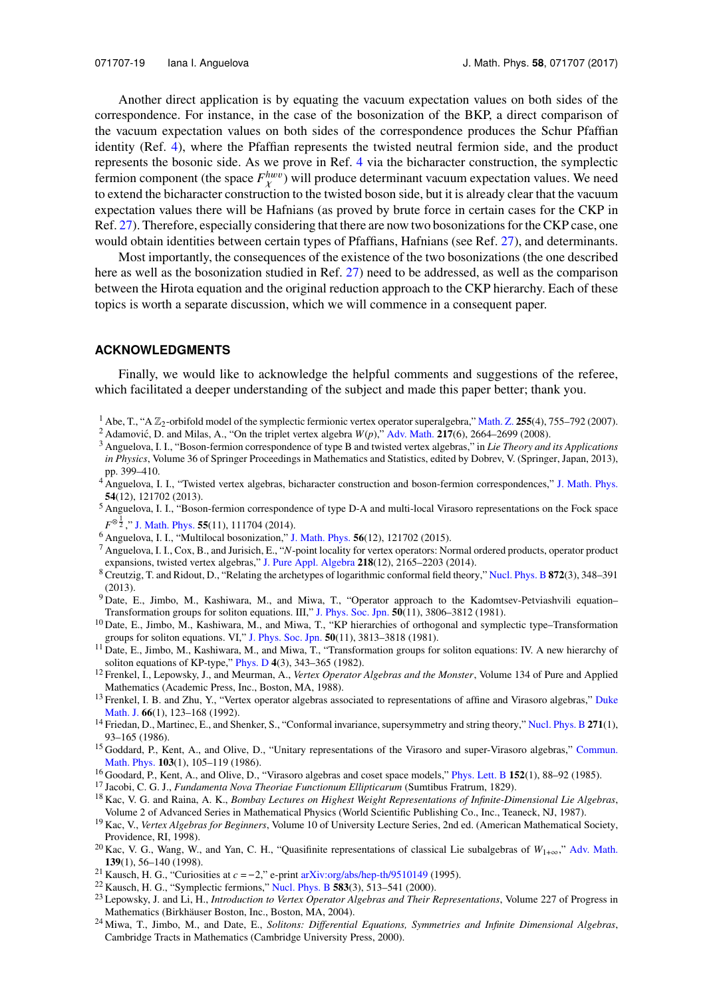Another direct application is by equating the vacuum expectation values on both sides of the correspondence. For instance, in the case of the bosonization of the BKP, a direct comparison of the vacuum expectation values on both sides of the correspondence produces the Schur Pfaffian identity (Ref. [4\)](#page-19-7), where the Pfaffian represents the twisted neutral fermion side, and the product represents the bosonic side. As we prove in Ref. [4](#page-19-7) via the bicharacter construction, the symplectic fermion component (the space  $F_{\chi}^{h w v}$ ) will produce determinant vacuum expectation values. We need to extend the bicharacter construction to the twisted boson side, but it is already clear that the vacuum expectation values there will be Hafnians (as proved by brute force in certain cases for the CKP in Ref. [27\)](#page-20-1). Therefore, especially considering that there are now two bosonizations for the CKP case, one would obtain identities between certain types of Pfaffians, Hafnians (see Ref. [27\)](#page-20-1), and determinants.

Most importantly, the consequences of the existence of the two bosonizations (the one described here as well as the bosonization studied in Ref. [27\)](#page-20-1) need to be addressed, as well as the comparison between the Hirota equation and the original reduction approach to the CKP hierarchy. Each of these topics is worth a separate discussion, which we will commence in a consequent paper.

#### **ACKNOWLEDGMENTS**

Finally, we would like to acknowledge the helpful comments and suggestions of the referee, which facilitated a deeper understanding of the subject and made this paper better; thank you.

- <span id="page-19-11"></span><sup>1</sup> Abe, T., "A  $\mathbb{Z}_2$ -orbifold model of the symplectic fermionic vertex operator superalgebra," [Math. Z.](http://dx.doi.org/10.1007/s00209-006-0048-5) 255(4), 755–792 (2007).
- <span id="page-19-12"></span><sup>2</sup> Adamović, D. and Milas, A., "On the triplet vertex algebra  $W(p)$ ," [Adv. Math.](http://dx.doi.org/10.1016/j.aim.2007.11.012) **217**(6), 2664–2699 (2008).
- <span id="page-19-6"></span><sup>3</sup> Anguelova, I. I., "Boson-fermion correspondence of type B and twisted vertex algebras," in *Lie Theory and its Applications in Physics*, Volume 36 of Springer Proceedings in Mathematics and Statistics, edited by Dobrev, V. (Springer, Japan, 2013), pp. 399–410.
- <span id="page-19-7"></span><sup>4</sup> Anguelova, I. I., "Twisted vertex algebras, bicharacter construction and boson-fermion correspondences," [J. Math. Phys.](http://dx.doi.org/10.1063/1.4842075) **54**(12), 121702 (2013).
- <span id="page-19-23"></span><sup>5</sup> Anguelova, I. I., "Boson-fermion correspondence of type D-A and multi-local Virasoro representations on the Fock space *F*<sup>⊗<sub>1</sub></sup>," [J. Math. Phys.](http://dx.doi.org/10.1063/1.4901557) **55**(11), 111704 (2014).
- <span id="page-19-8"></span><sup>6</sup> Anguelova, I. I., "Multilocal bosonization," [J. Math. Phys.](http://dx.doi.org/10.1063/1.4936136) **56**(12), 121702 (2015).
- <span id="page-19-15"></span><sup>7</sup> Anguelova, I. I., Cox, B., and Jurisich, E., "*N*-point locality for vertex operators: Normal ordered products, operator product expansions, twisted vertex algebras," [J. Pure Appl. Algebra](http://dx.doi.org/10.1016/j.jpaa.2014.03.010) **218**(12), 2165–2203 (2014).
- <span id="page-19-18"></span><sup>8</sup> Creutzig, T. and Ridout, D., "Relating the archetypes of logarithmic conformal field theory," [Nucl. Phys. B](http://dx.doi.org/10.1016/j.nuclphysb.2013.04.007) **872**(3), 348–391 (2013).
- <span id="page-19-5"></span><sup>9</sup> Date, E., Jimbo, M., Kashiwara, M., and Miwa, T., "Operator approach to the Kadomtsev-Petviashvili equation-Transformation groups for soliton equations. III," [J. Phys. Soc. Jpn.](http://dx.doi.org/10.1143/jpsj.50.3806) **50**(11), 3806–3812 (1981).
- <span id="page-19-4"></span><sup>10</sup> Date, E., Jimbo, M., Kashiwara, M., and Miwa, T., "KP hierarchies of orthogonal and symplectic type–Transformation groups for soliton equations. VI," [J. Phys. Soc. Jpn.](http://dx.doi.org/10.1143/jpsj.50.3813) **50**(11), 3813–3818 (1981).
- <span id="page-19-3"></span><sup>11</sup> Date, E., Jimbo, M., Kashiwara, M., and Miwa, T., "Transformation groups for soliton equations: IV. A new hierarchy of soliton equations of KP-type," [Phys. D](http://dx.doi.org/10.1016/0167-2789(82)90041-0) **4**(3), 343–365 (1982).
- <span id="page-19-14"></span><sup>12</sup> Frenkel, I., Lepowsky, J., and Meurman, A., *Vertex Operator Algebras and the Monster*, Volume 134 of Pure and Applied Mathematics (Academic Press, Inc., Boston, MA, 1988).
- <span id="page-19-22"></span><sup>13</sup> Frenkel, I. B. and Zhu, Y., "Vertex operator algebras associated to representations of affine and Virasoro algebras," [Duke](http://dx.doi.org/10.1215/s0012-7094-92-06604-x) [Math. J.](http://dx.doi.org/10.1215/s0012-7094-92-06604-x) **66**(1), 123–168 (1992).
- <span id="page-19-13"></span><sup>14</sup> Friedan, D., Martinec, E., and Shenker, S., "Conformal invariance, supersymmetry and string theory," [Nucl. Phys. B](http://dx.doi.org/10.1016/0550-3213(86)90356-1) **271**(1), 93–165 (1986).
- <span id="page-19-21"></span><sup>15</sup> Goddard, P., Kent, A., and Olive, D., "Unitary representations of the Virasoro and super-Virasoro algebras," [Commun.](http://dx.doi.org/10.1007/bf01464283) [Math. Phys.](http://dx.doi.org/10.1007/bf01464283) **103**(1), 105–119 (1986).
- <span id="page-19-20"></span><sup>16</sup> Goodard, P., Kent, A., and Olive, D., "Virasoro algebras and coset space models," [Phys. Lett. B](http://dx.doi.org/10.1016/0370-2693(85)91145-1) **152**(1), 88–92 (1985).
- <span id="page-19-17"></span><sup>17</sup> Jacobi, C. G. J., *Fundamenta Nova Theoriae Functionum Ellipticarum* (Sumtibus Fratrum, 1829).
- <span id="page-19-1"></span><sup>18</sup> Kac, V. G. and Raina, A. K., *Bombay Lectures on Highest Weight Representations of Infinite-Dimensional Lie Algebras*, Volume 2 of Advanced Series in Mathematical Physics (World Scientific Publishing Co., Inc., Teaneck, NJ, 1987).
- <span id="page-19-0"></span><sup>19</sup> Kac, V., *Vertex Algebras for Beginners*, Volume 10 of University Lecture Series, 2nd ed. (American Mathematical Society, Providence, RI, 1998).
- <span id="page-19-16"></span><sup>20</sup> Kac, V. G., Wang, W., and Yan, C. H., "Quasifinite representations of classical Lie subalgebras of  $W_{1+\infty}$ ," [Adv. Math.](http://dx.doi.org/10.1006/aima.1998.1753) **139**(1), 56–140 (1998).<br><sup>21</sup> Kausch, H. G., "Curiosities at  $c = -2$ ," e-print arXiv:org/abs/hep-th/9510149 (1995). Exercise at *Cause of Beginners*, volume to of emversity Ecclude Series, 2nd<br>
<sup>20</sup> Kac, V. G., Wang, W., and Yan, C. H., "Quasifinite representations of classical Lie<br> **139**(1), 56–140 (1998).<br>
<sup>21</sup> Kausch, H. G., "Curios
- <span id="page-19-9"></span>
- <span id="page-19-10"></span><sup>22</sup> Kausch, H. G., "Symplectic fermions," [Nucl. Phys. B](http://dx.doi.org/10.1016/s0550-3213(00)00295-9) **583**(3), 513–541 (2000).
- <span id="page-19-19"></span><sup>23</sup> Lepowsky, J. and Li, H., *Introduction to Vertex Operator Algebras and Their Representations*, Volume 227 of Progress in Mathematics (Birkhäuser Boston, Inc., Boston, MA, 2004).
- <span id="page-19-2"></span><sup>24</sup> Miwa, T., Jimbo, M., and Date, E., *Solitons: Differential Equations, Symmetries and Infinite Dimensional Algebras*, Cambridge Tracts in Mathematics (Cambridge University Press, 2000).